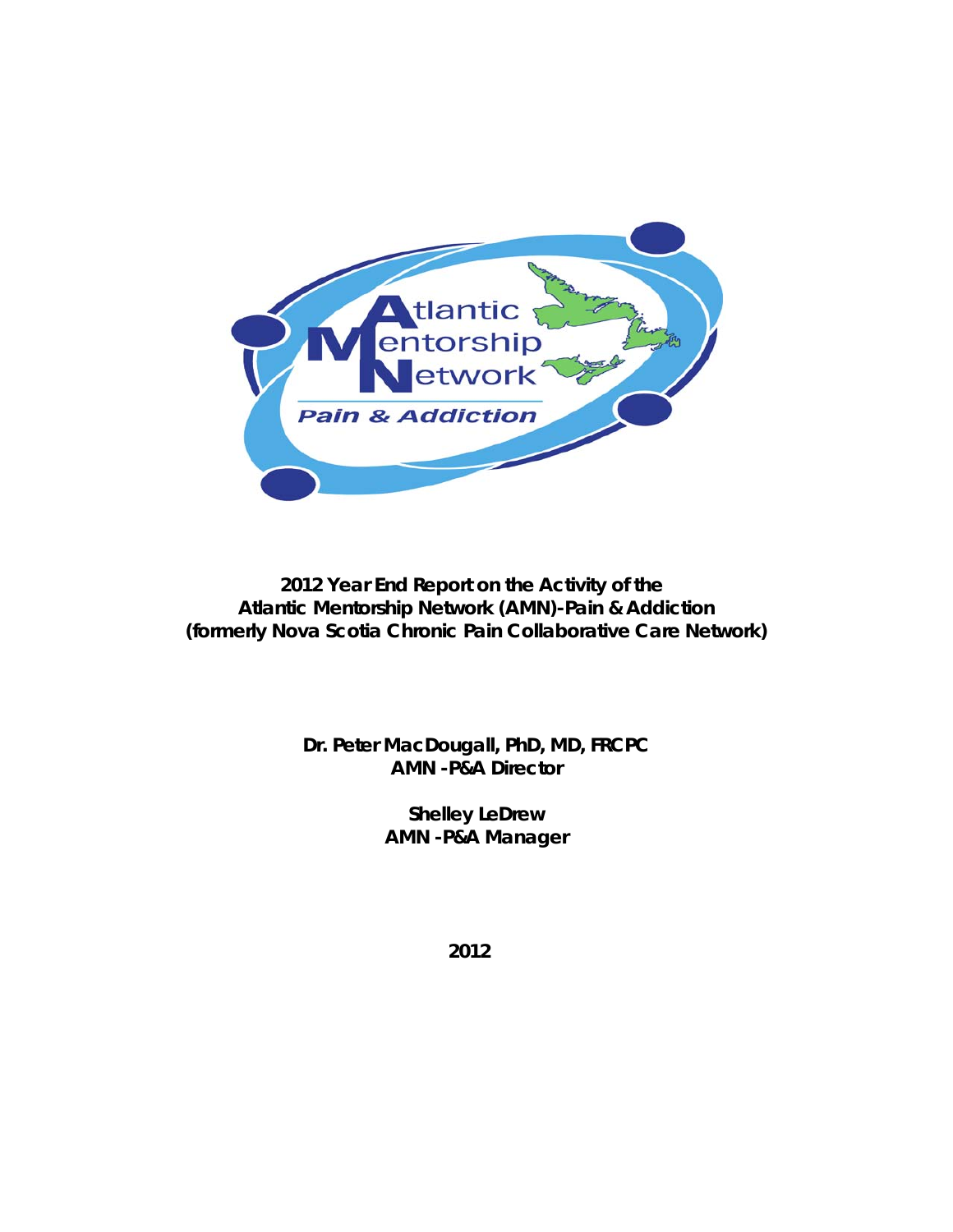

**2012 Year End Report on the Activity of the Atlantic Mentorship Network (AMN)-Pain & Addiction (formerly Nova Scotia Chronic Pain Collaborative Care Network)**

> **Dr. Peter MacDougall, PhD, MD, FRCPC AMN -P&A Director**

> > **Shelley LeDrew AMN -P&A Manager**

> > > **2012**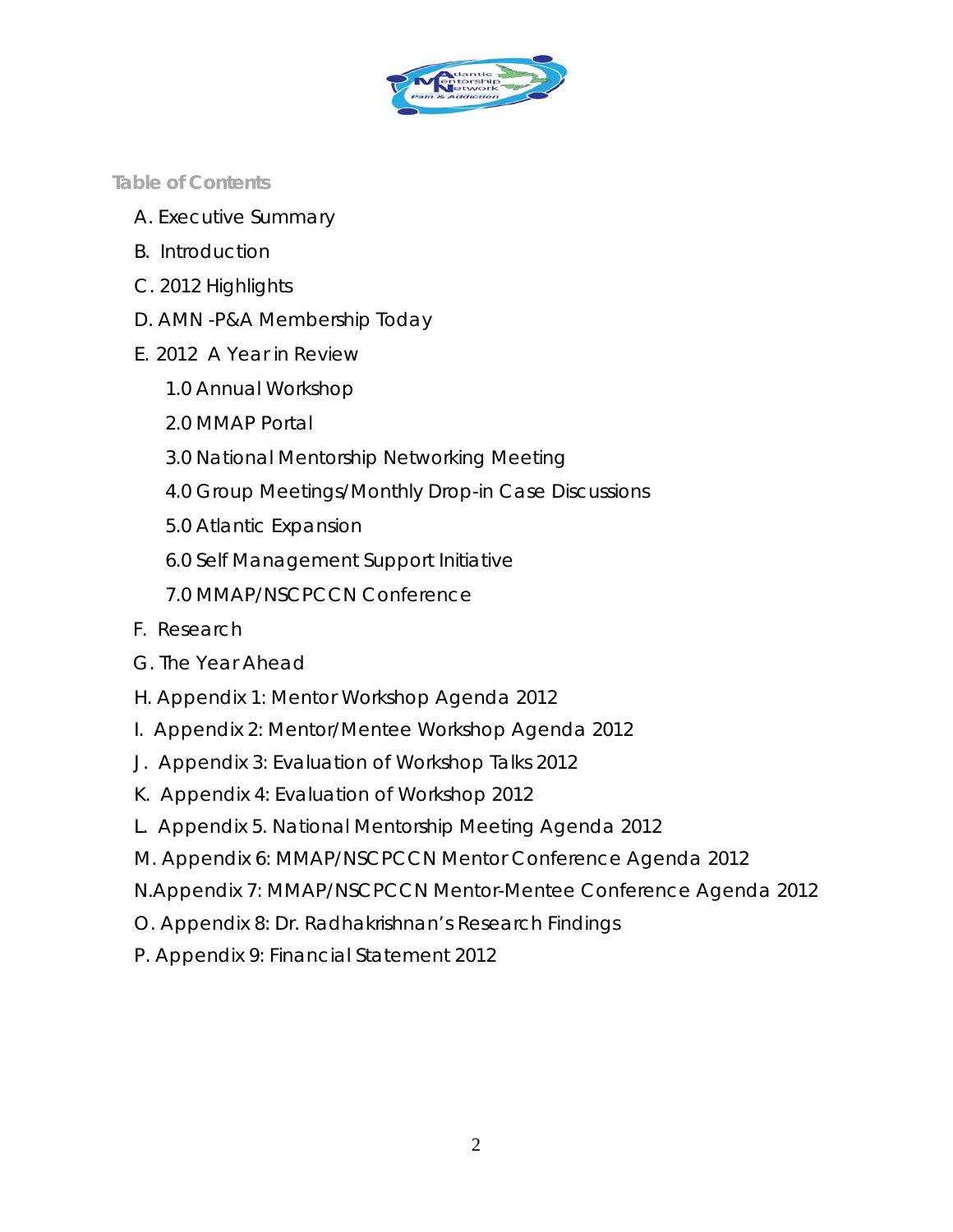

*Table of Contents*

- A. Executive Summary
- B. Introduction
- C. 2012 Highlights
- D. AMN -P&A Membership Today
- E. 2012 A Year in Review
	- 1.0 Annual Workshop
	- 2.0 MMAP Portal
	- 3.0 National Mentorship Networking Meeting
	- 4.0 Group Meetings/Monthly Drop-in Case Discussions
	- 5.0 Atlantic Expansion
	- 6.0 Self Management Support Initiative
	- 7.0 MMAP/NSCPCCN Conference
- F. Research
- G. The Year Ahead
- H. Appendix 1: Mentor Workshop Agenda 2012
- I. Appendix 2: Mentor/Mentee Workshop Agenda 2012
- J. Appendix 3: Evaluation of Workshop Talks 2012
- K. Appendix 4: Evaluation of Workshop 2012
- L. Appendix 5. National Mentorship Meeting Agenda 2012
- M. Appendix 6: MMAP/NSCPCCN Mentor Conference Agenda 2012
- N.Appendix 7: MMAP/NSCPCCN Mentor-Mentee Conference Agenda 2012
- O. Appendix 8: Dr. Radhakrishnan's Research Findings
- P. Appendix 9: Financial Statement 2012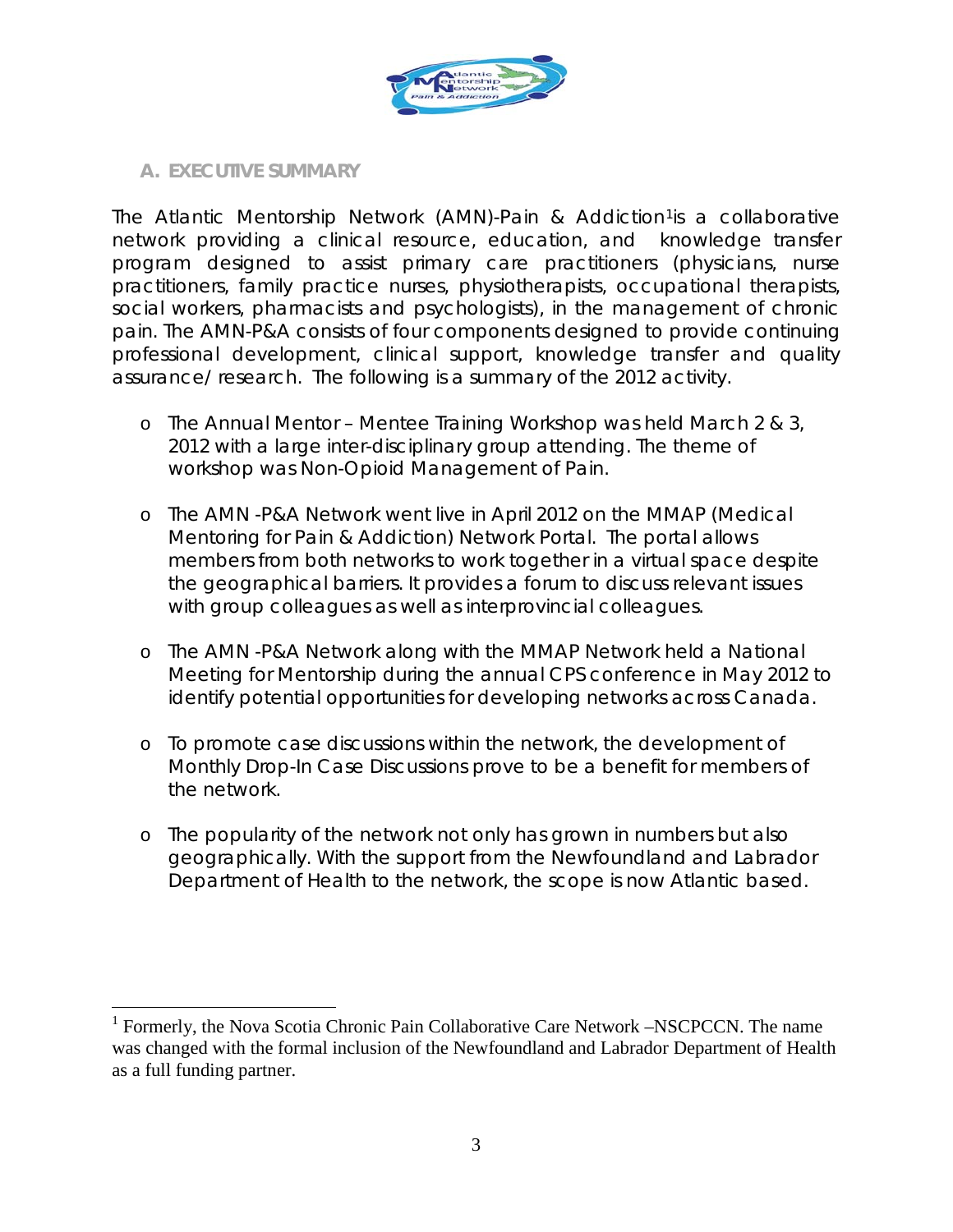

#### *A. EXECUTIVE SUMMARY*

The Atlantic Mentorship Network (AMN)-Pain & Addiction<sup>[1](#page-2-0)</sup> is a collaborative network providing a clinical resource, education, and knowledge transfer program designed to assist primary care practitioners (physicians, nurse practitioners, family practice nurses, physiotherapists, occupational therapists, social workers, pharmacists and psychologists), in the management of chronic pain. The AMN-P&A consists of four components designed to provide continuing professional development, clinical support, knowledge transfer and quality assurance/ research. The following is a summary of the 2012 activity.

- o The Annual Mentor Mentee Training Workshop was held March 2 & 3, 2012 with a large inter-disciplinary group attending. The theme of workshop was Non-Opioid Management of Pain.
- o The AMN -P&A Network went live in April 2012 on the MMAP (Medical Mentoring for Pain & Addiction) Network Portal. The portal allows members from both networks to work together in a virtual space despite the geographical barriers. It provides a forum to discuss relevant issues with group colleagues as well as interprovincial colleagues.
- o The AMN -P&A Network along with the MMAP Network held a National Meeting for Mentorship during the annual CPS conference in May 2012 to identify potential opportunities for developing networks across Canada.
- o To promote case discussions within the network, the development of Monthly Drop-In Case Discussions prove to be a benefit for members of the network.
- o The popularity of the network not only has grown in numbers but also geographically. With the support from the Newfoundland and Labrador Department of Health to the network, the scope is now Atlantic based.

<span id="page-2-0"></span><sup>&</sup>lt;sup>1</sup> Formerly, the Nova Scotia Chronic Pain Collaborative Care Network –NSCPCCN. The name was changed with the formal inclusion of the Newfoundland and Labrador Department of Health as a full funding partner.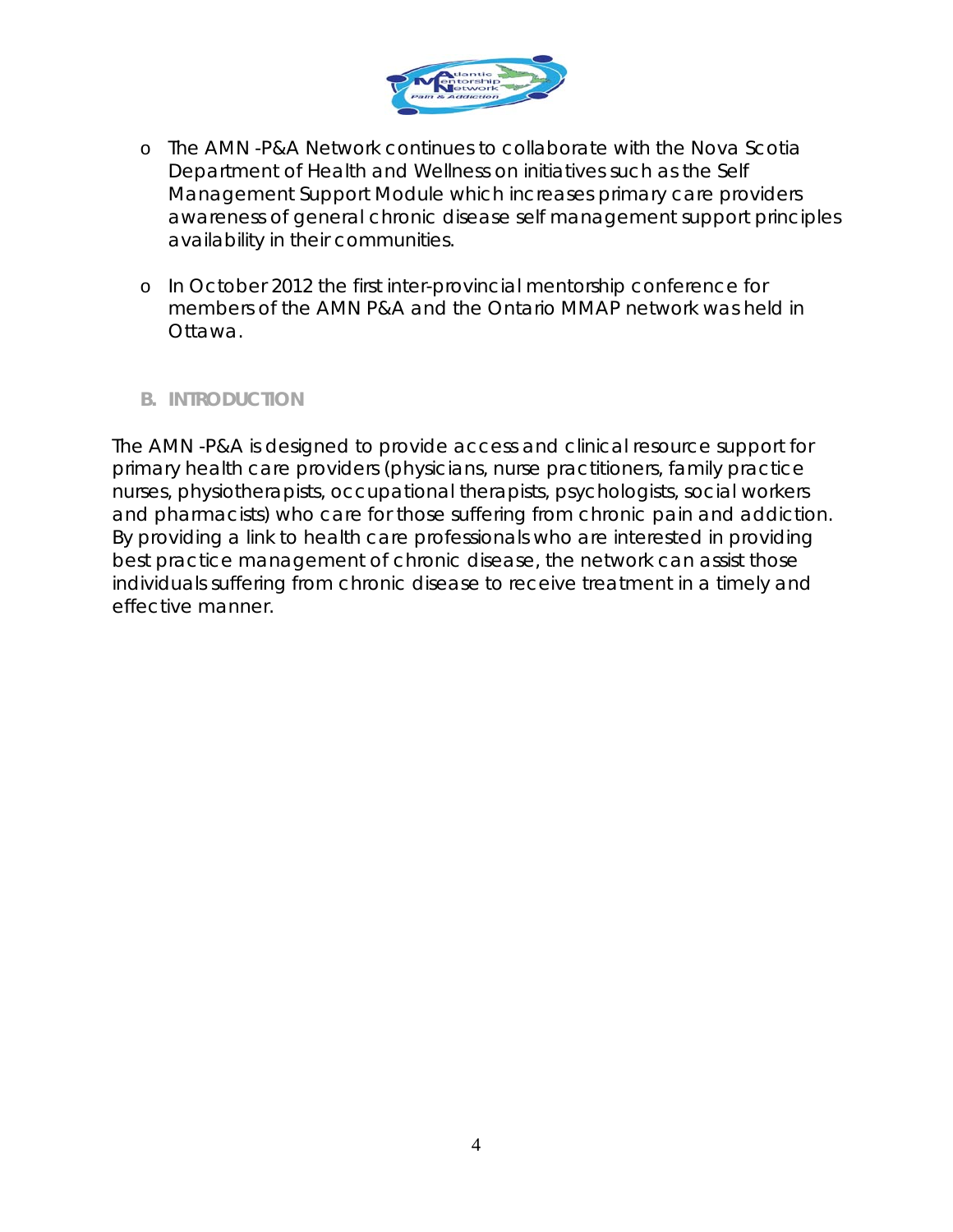

- o The AMN -P&A Network continues to collaborate with the Nova Scotia Department of Health and Wellness on initiatives such as the Self Management Support Module which increases primary care providers awareness of general chronic disease self management support principles availability in their communities.
- o In October 2012 the first inter-provincial mentorship conference for members of the AMN P&A and the Ontario MMAP network was held in Ottawa.

#### *B. INTRODUCTION*

The AMN -P&A is designed to provide access and clinical resource support for primary health care providers (physicians, nurse practitioners, family practice nurses, physiotherapists, occupational therapists, psychologists, social workers and pharmacists) who care for those suffering from chronic pain and addiction. By providing a link to health care professionals who are interested in providing best practice management of chronic disease, the network can assist those individuals suffering from chronic disease to receive treatment in a timely and effective manner.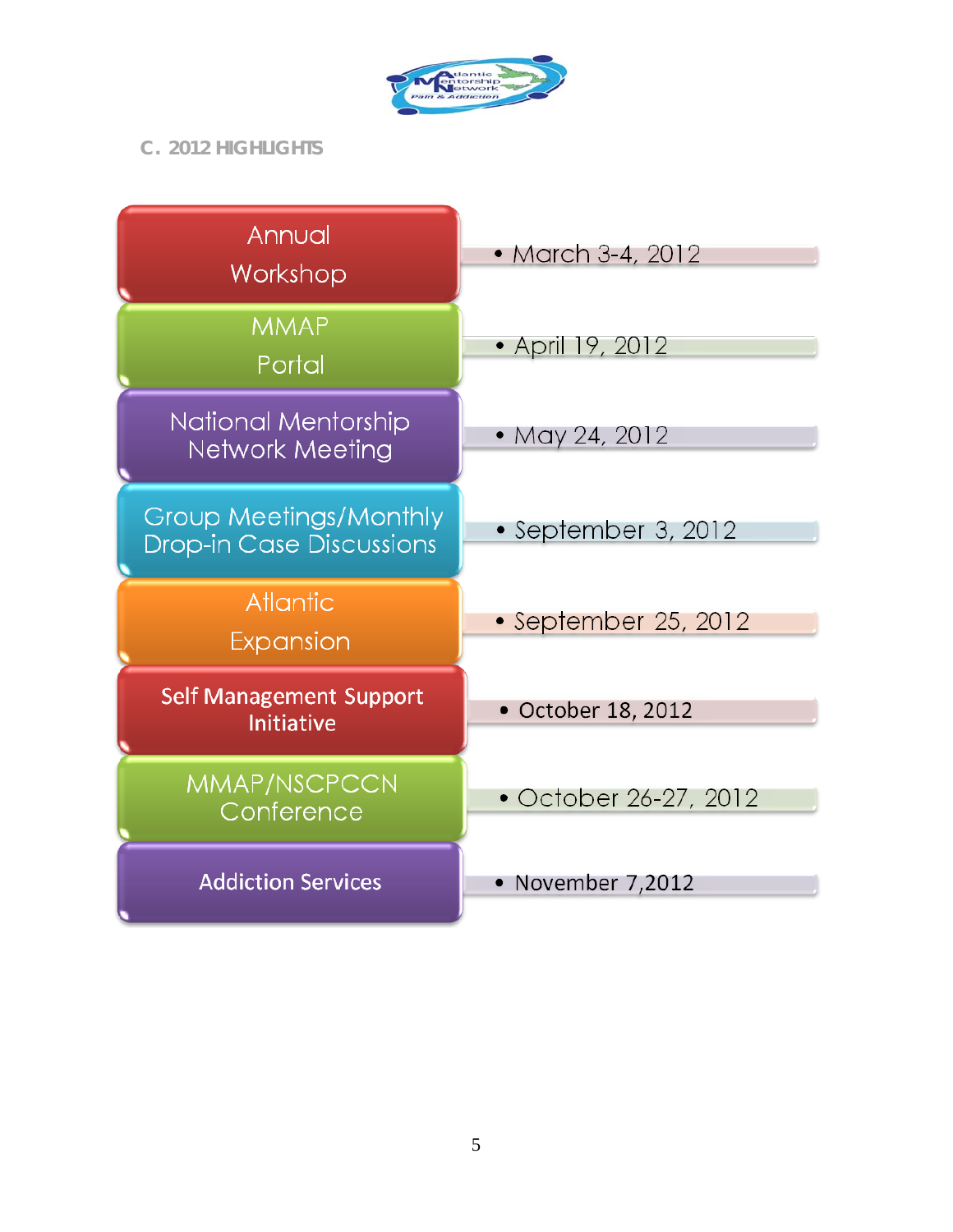

*C. 2012 HIGHLIGHTS*

| Annual<br>Workshop                                        | • March 3-4, 2012     |
|-----------------------------------------------------------|-----------------------|
| <b>MMAP</b><br>Portal                                     | • April 19, 2012      |
| National Mentorship<br><b>Network Meeting</b>             | • May 24, 2012        |
| Group Meetings/Monthly<br><b>Drop-in Case Discussions</b> | • September 3, 2012   |
| <b>Atlantic</b><br>Expansion                              | • September 25, 2012  |
| <b>Self Management Support</b><br><b>Initiative</b>       | • October 18, 2012    |
| MMAP/NSCPCCN<br>Conference                                | • October 26-27, 2012 |
| <b>Addiction Services</b>                                 | • November 7,2012     |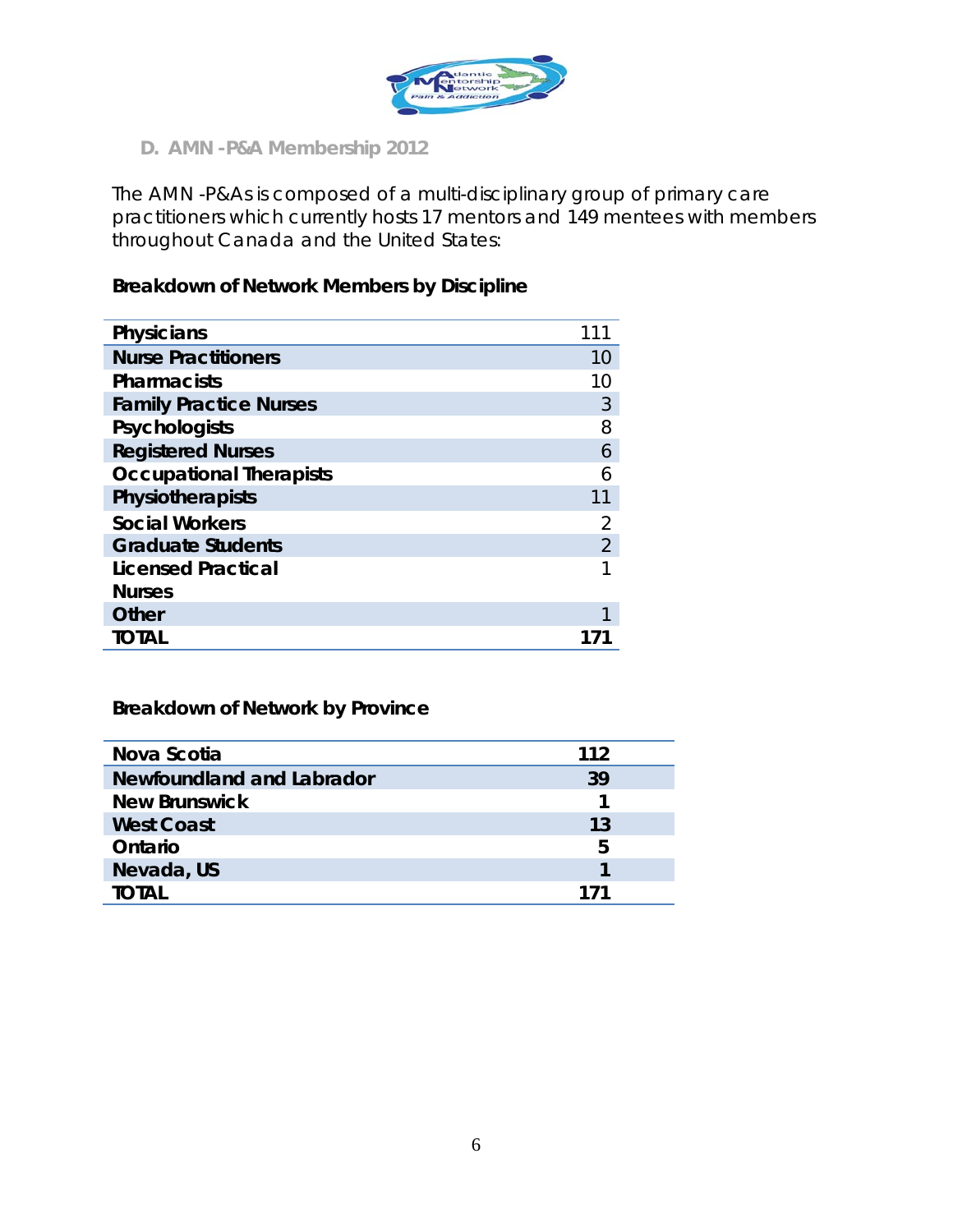

*D. AMN -P&A Membership 2012*

The AMN -P&As is composed of a multi-disciplinary group of primary care practitioners which currently hosts 17 mentors and 149 mentees with members throughout Canada and the United States:

#### **Breakdown of Network Members by Discipline**

| 10             |
|----------------|
| 10             |
| 3              |
| 8              |
| 6              |
| 6              |
| 11             |
| 2              |
| $\overline{2}$ |
|                |
|                |
|                |
|                |
|                |

### **Breakdown of Network by Province**

| Nova Scotia               | 112 |
|---------------------------|-----|
| Newfoundland and Labrador | 39  |
| <b>New Brunswick</b>      |     |
| <b>West Coast</b>         | 13  |
| Ontario                   | 5   |
| Nevada, US                |     |
| TOTAL                     | 171 |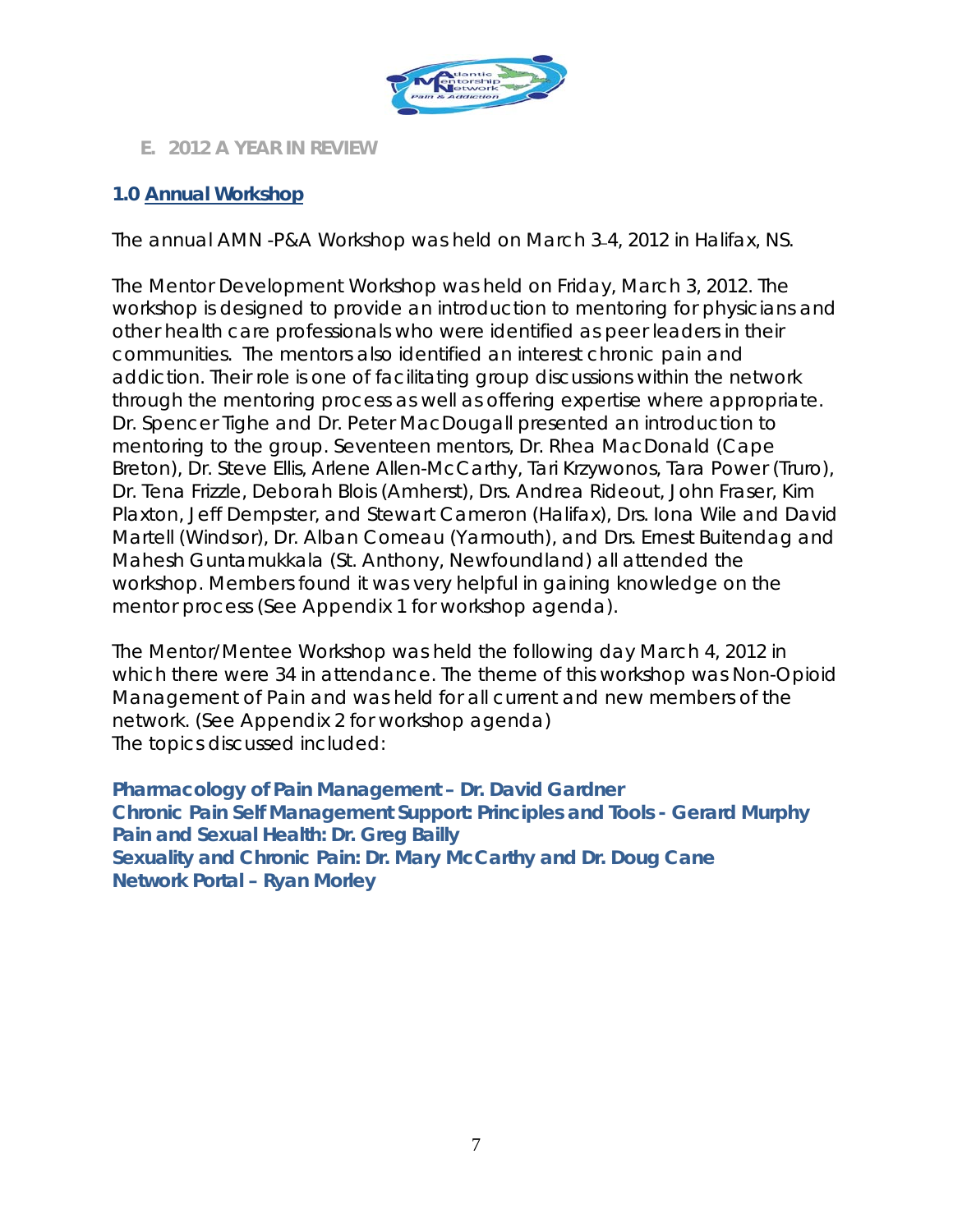

#### *E. 2012 A YEAR IN REVIEW*

#### **1.0 Annual Workshop**

The annual AMN -P&A Workshop was held on March 3\_4, 2012 in Halifax, NS.

The Mentor Development Workshop was held on Friday, March 3, 2012. The workshop is designed to provide an introduction to mentoring for physicians and other health care professionals who were identified as peer leaders in their communities. The mentors also identified an interest chronic pain and addiction. Their role is one of facilitating group discussions within the network through the mentoring process as well as offering expertise where appropriate. Dr. Spencer Tighe and Dr. Peter MacDougall presented an introduction to mentoring to the group. Seventeen mentors, Dr. Rhea MacDonald (Cape Breton), Dr. Steve Ellis, Arlene Allen-McCarthy, Tari Krzywonos, Tara Power (Truro), Dr. Tena Frizzle, Deborah Blois (Amherst), Drs. Andrea Rideout, John Fraser, Kim Plaxton, Jeff Dempster, and Stewart Cameron (Halifax), Drs. Iona Wile and David Martell (Windsor), Dr. Alban Comeau (Yarmouth), and Drs. Ernest Buitendag and Mahesh Guntamukkala (St. Anthony, Newfoundland) all attended the workshop. Members found it was very helpful in gaining knowledge on the mentor process (See Appendix 1 for workshop agenda).

The Mentor/Mentee Workshop was held the following day March 4, 2012 in which there were 34 in attendance. The theme of this workshop was Non-Opioid Management of Pain and was held for all current and new members of the network. (See Appendix 2 for workshop agenda) The topics discussed included:

**Pharmacology of Pain Management – Dr. David Gardner Chronic Pain Self Management Support: Principles and Tools - Gerard Murphy Pain and Sexual Health: Dr. Greg Bailly Sexuality and Chronic Pain: Dr. Mary McCarthy and Dr. Doug Cane Network Portal – Ryan Morley**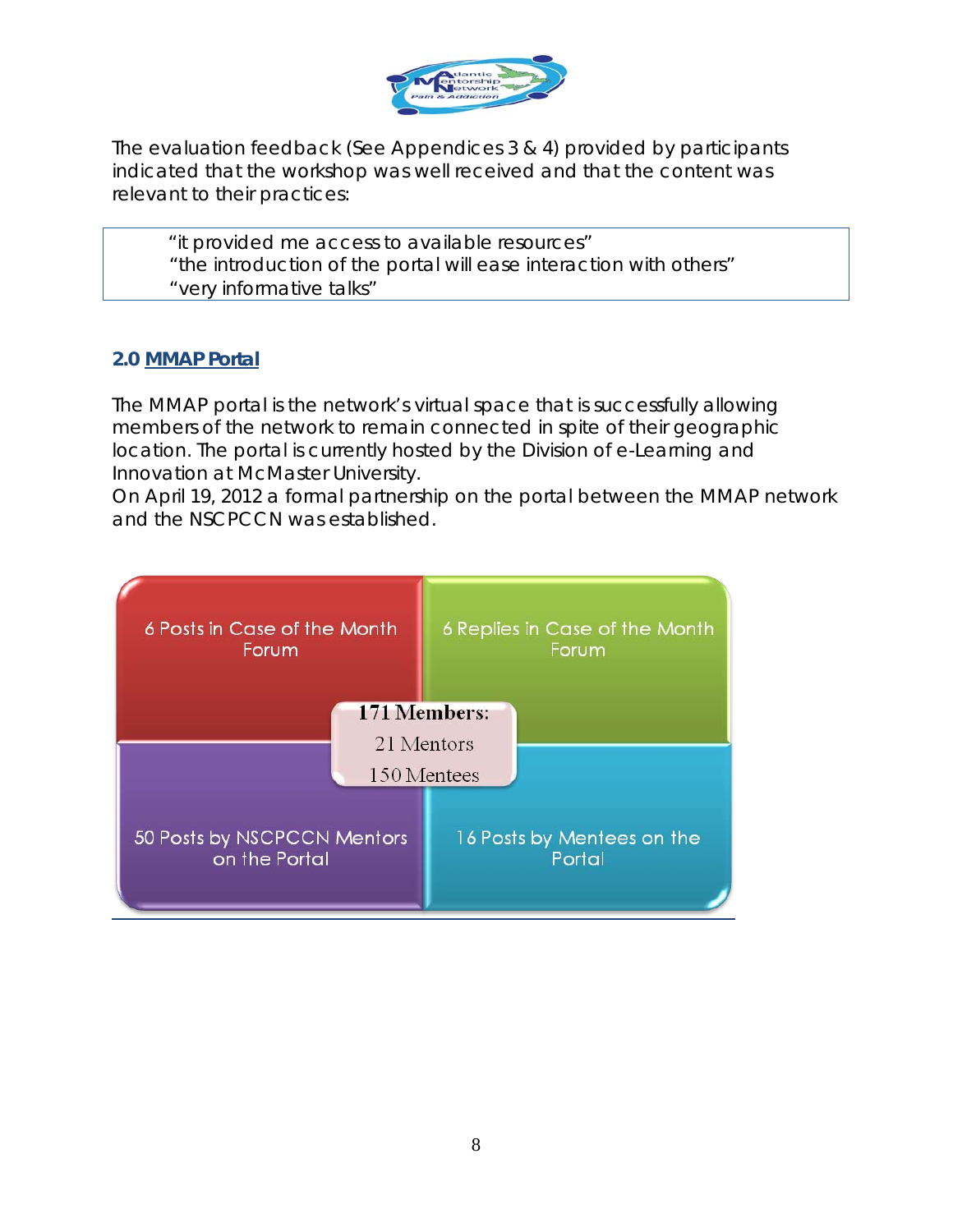

The evaluation feedback (See Appendices 3 & 4) provided by participants indicated that the workshop was well received and that the content was relevant to their practices:

"it provided me access to available resources"

"the introduction of the portal will ease interaction with others"

"very informative talks"

#### **2.0 MMAP Portal**

The MMAP portal is the network's virtual space that is successfully allowing members of the network to remain connected in spite of their geographic location. The portal is currently hosted by the Division of e-Learning and Innovation at McMaster University.

On April 19, 2012 a formal partnership on the portal between the MMAP network and the NSCPCCN was established.

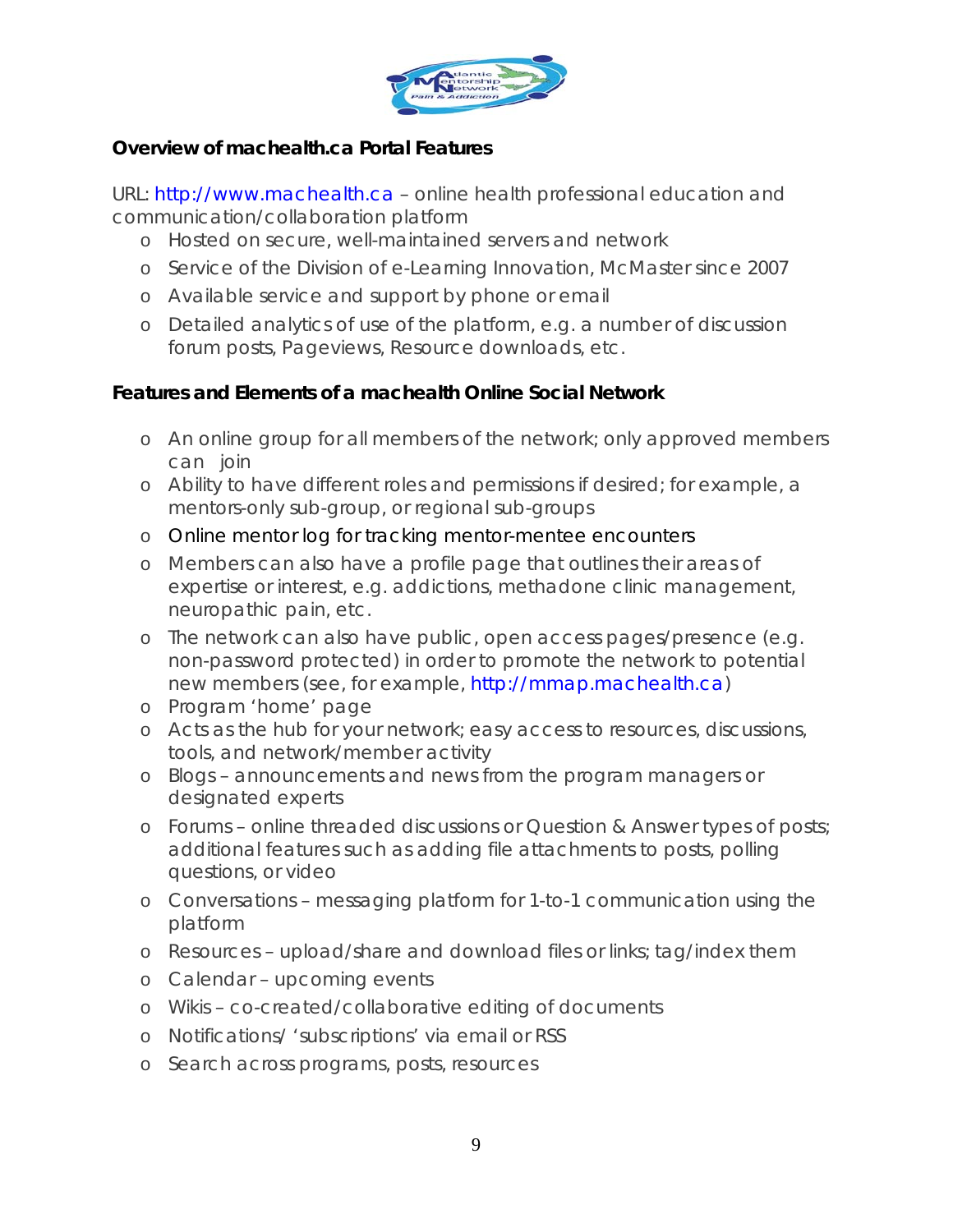

### **Overview of machealth.ca Portal Features**

URL: http://www.machealth.ca – online health professional education and communication/collaboration platform

- o Hosted on secure, well-maintained servers and network
- o Service of the Division of e-Learning Innovation, McMaster since 2007
- o Available service and support by phone or email
- o Detailed analytics of use of the platform, e.g. a number of discussion forum posts, Pageviews, Resource downloads, etc.

#### **Features and Elements of a machealth Online Social Network**

- o An online group for all members of the network; only approved members can join
- o Ability to have different roles and permissions if desired; for example, a mentors-only sub-group, or regional sub-groups
- o Online mentor log for tracking mentor-mentee encounters
- o Members can also have a profile page that outlines their areas of expertise or interest, e.g. addictions, methadone clinic management, neuropathic pain, etc.
- o The network can also have public, open access pages/presence (e.g. non-password protected) in order to promote the network to potential new members (see, for example, http://mmap.machealth.ca)
- o Program 'home' page
- o Acts as the hub for your network; easy access to resources, discussions, tools, and network/member activity
- o Blogs announcements and news from the program managers or designated experts
- o Forums online threaded discussions or Question & Answer types of posts; additional features such as adding file attachments to posts, polling questions, or video
- o Conversations messaging platform for 1-to-1 communication using the platform
- o Resources upload/share and download files or links; tag/index them
- o Calendar upcoming events
- o Wikis co-created/collaborative editing of documents
- o Notifications/ 'subscriptions' via email or RSS
- o Search across programs, posts, resources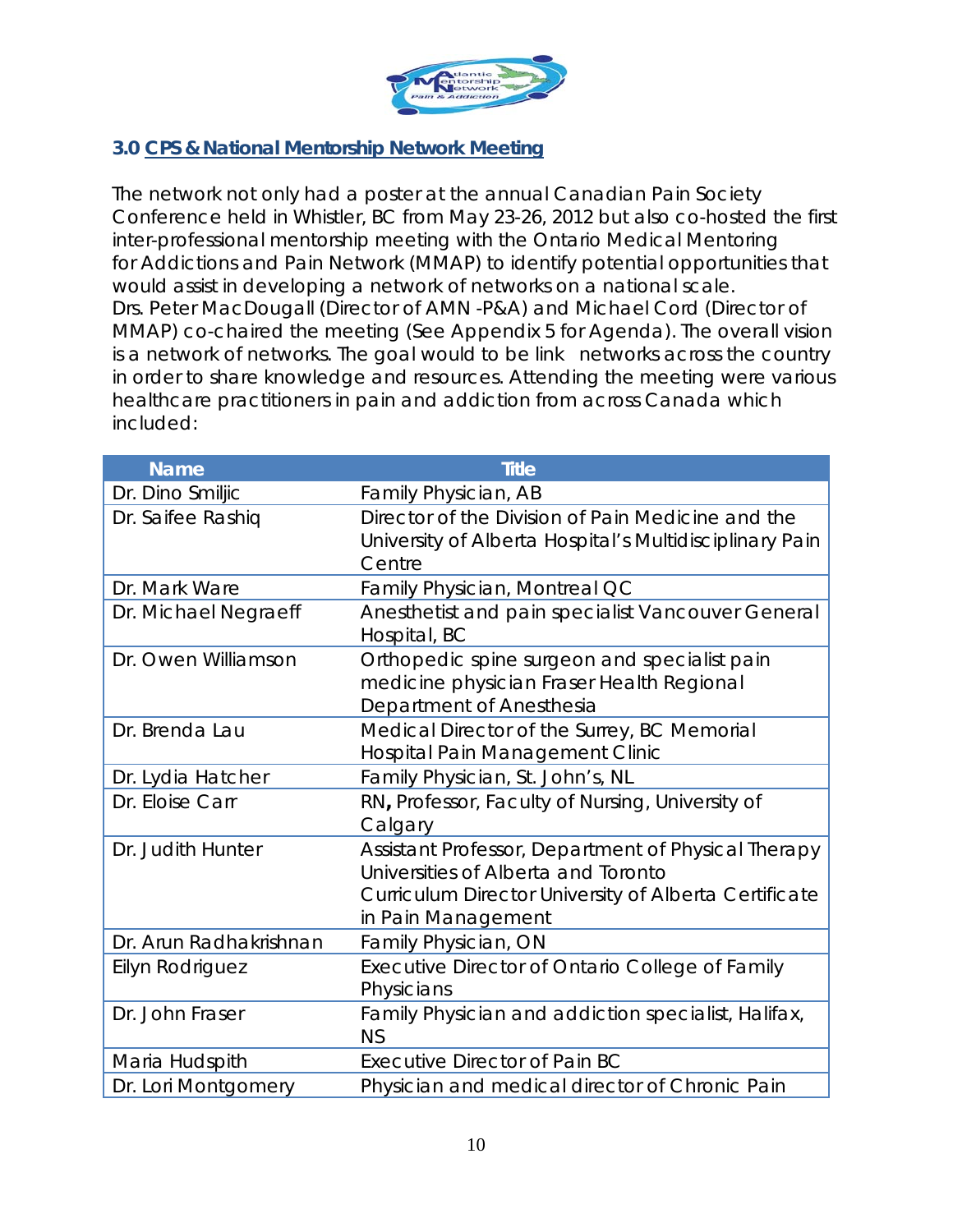

#### **3.0 CPS & National Mentorship Network Meeting**

The network not only had a poster at the annual Canadian Pain Society Conference held in Whistler, BC from May 23-26, 2012 but also co-hosted the first inter-professional mentorship meeting with the Ontario Medical Mentoring for Addictions and Pain Network (MMAP) to identify potential opportunities that would assist in developing a network of networks on a national scale. Drs. Peter MacDougall (Director of AMN -P&A) and Michael Cord (Director of MMAP) co-chaired the meeting (See Appendix 5 for Agenda). The overall vision is a network of networks. The goal would to be link networks across the country in order to share knowledge and resources. Attending the meeting were various healthcare practitioners in pain and addiction from across Canada which included:

| <b>Name</b>            | <b>Title</b>                                                                                                                                                              |
|------------------------|---------------------------------------------------------------------------------------------------------------------------------------------------------------------------|
| Dr. Dino Smiljic       | Family Physician, AB                                                                                                                                                      |
| Dr. Saifee Rashiq      | Director of the Division of Pain Medicine and the<br>University of Alberta Hospital's Multidisciplinary Pain<br>Centre                                                    |
| Dr. Mark Ware          | Family Physician, Montreal QC                                                                                                                                             |
| Dr. Michael Negraeff   | Anesthetist and pain specialist Vancouver General<br>Hospital, BC                                                                                                         |
| Dr. Owen Williamson    | Orthopedic spine surgeon and specialist pain<br>medicine physician Fraser Health Regional<br>Department of Anesthesia                                                     |
| Dr. Brenda Lau         | Medical Director of the Surrey, BC Memorial<br>Hospital Pain Management Clinic                                                                                            |
| Dr. Lydia Hatcher      | Family Physician, St. John's, NL                                                                                                                                          |
| Dr. Eloise Carr        | RN, Professor, Faculty of Nursing, University of<br>Calgary                                                                                                               |
| Dr. Judith Hunter      | Assistant Professor, Department of Physical Therapy<br>Universities of Alberta and Toronto<br>Curriculum Director University of Alberta Certificate<br>in Pain Management |
| Dr. Arun Radhakrishnan | Family Physician, ON                                                                                                                                                      |
| Eilyn Rodriguez        | Executive Director of Ontario College of Family<br>Physicians                                                                                                             |
| Dr. John Fraser        | Family Physician and addiction specialist, Halifax,<br><b>NS</b>                                                                                                          |
| Maria Hudspith         | Executive Director of Pain BC                                                                                                                                             |
| Dr. Lori Montgomery    | Physician and medical director of Chronic Pain                                                                                                                            |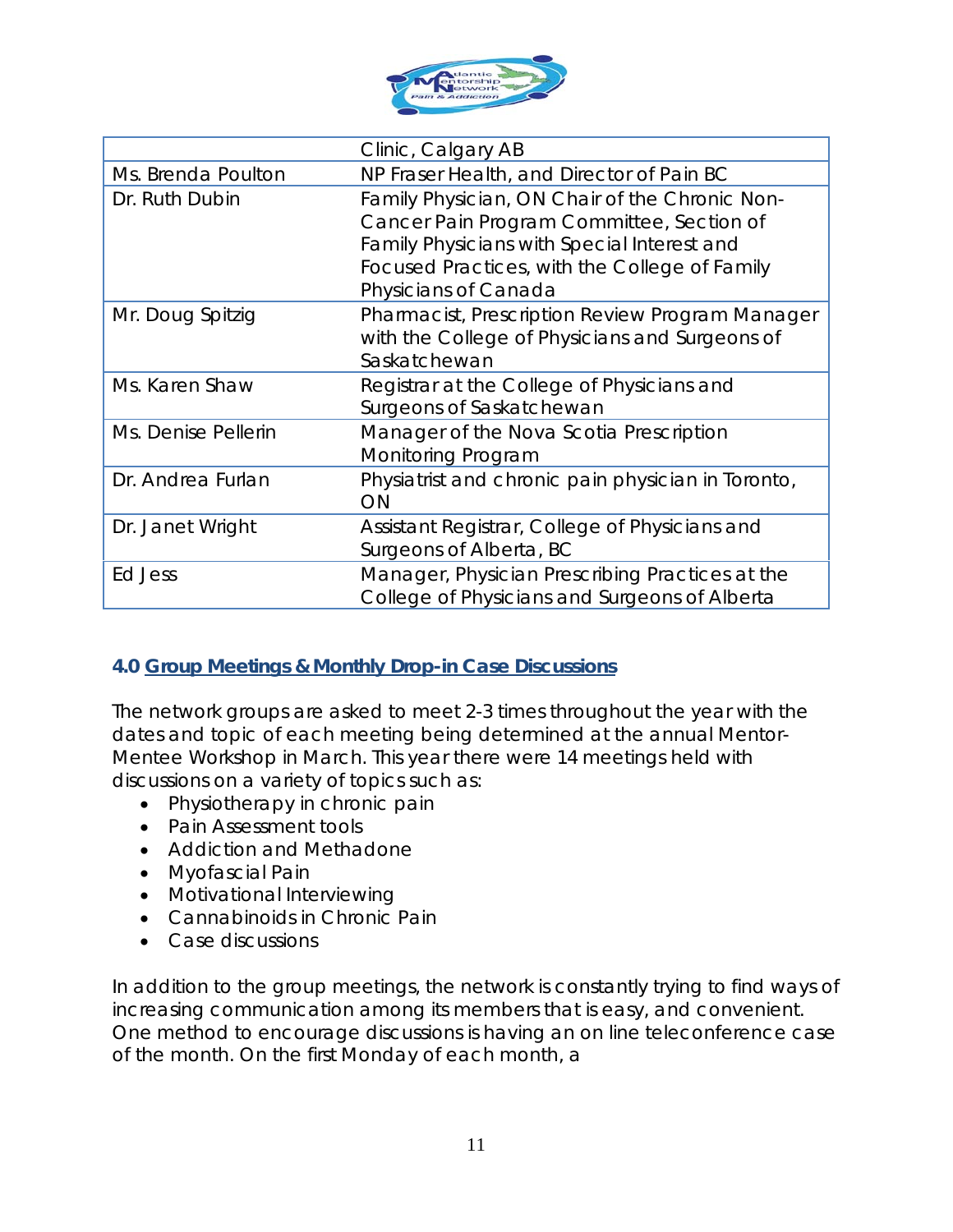

|                     | Clinic, Calgary AB                                 |
|---------------------|----------------------------------------------------|
| Ms. Brenda Poulton  | NP Fraser Health, and Director of Pain BC          |
| Dr. Ruth Dubin      | Family Physician, ON Chair of the Chronic Non-     |
|                     | Cancer Pain Program Committee, Section of          |
|                     | Family Physicians with Special Interest and        |
|                     | Focused Practices, with the College of Family      |
|                     | Physicians of Canada                               |
| Mr. Doug Spitzig    | Pharmacist, Prescription Review Program Manager    |
|                     | with the College of Physicians and Surgeons of     |
|                     | Saskatchewan                                       |
| Ms. Karen Shaw      | Registrar at the College of Physicians and         |
|                     | Surgeons of Saskatchewan                           |
| Ms. Denise Pellerin | Manager of the Nova Scotia Prescription            |
|                     | <b>Monitoring Program</b>                          |
| Dr. Andrea Furlan   | Physiatrist and chronic pain physician in Toronto, |
|                     | ON                                                 |
| Dr. Janet Wright    | Assistant Registrar, College of Physicians and     |
|                     | Surgeons of Alberta, BC                            |
| Ed Jess             | Manager, Physician Prescribing Practices at the    |
|                     | College of Physicians and Surgeons of Alberta      |

# **4.0 Group Meetings & Monthly Drop-in Case Discussions**

The network groups are asked to meet 2-3 times throughout the year with the dates and topic of each meeting being determined at the annual Mentor-Mentee Workshop in March. This year there were 14 meetings held with discussions on a variety of topics such as:

- Physiotherapy in chronic pain
- Pain Assessment tools
- Addiction and Methadone
- Myofascial Pain
- Motivational Interviewing
- Cannabinoids in Chronic Pain
- Case discussions

In addition to the group meetings, the network is constantly trying to find ways of increasing communication among its members that is easy, and convenient. One method to encourage discussions is having an on line teleconference case of the month. On the first Monday of each month, a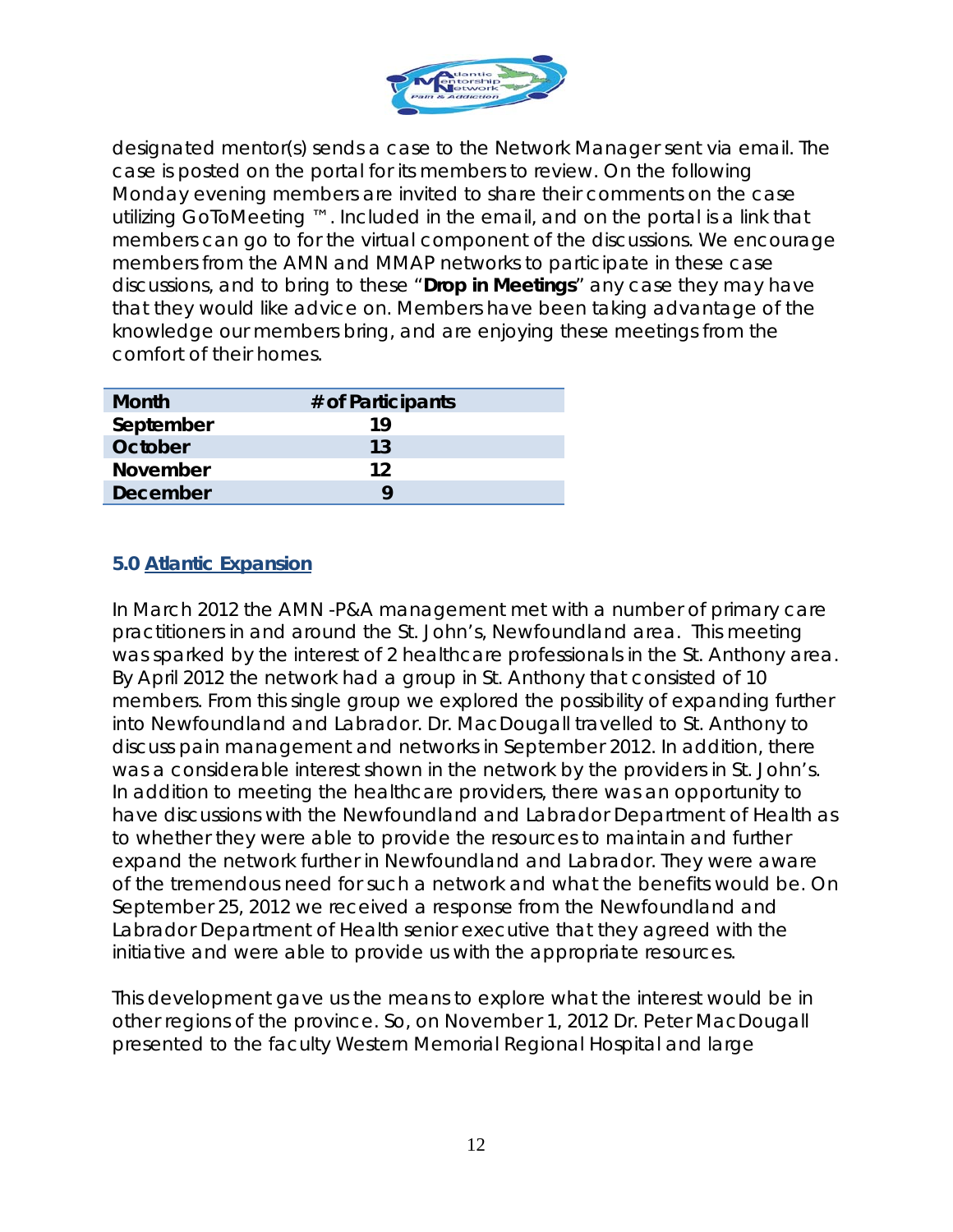

designated mentor(s) sends a case to the Network Manager sent via email. The case is posted on the portal for its members to review. On the following Monday evening members are invited to share their comments on the case utilizing GoToMeeting ™. Included in the email, and on the portal is a link that members can go to for the virtual component of the discussions. We encourage members from the AMN and MMAP networks to participate in these case discussions, and to bring to these "*Drop in Meetings*" any case they may have that they would like advice on. Members have been taking advantage of the knowledge our members bring, and are enjoying these meetings from the comfort of their homes.

| <b>Month</b>    | # of Participants |
|-----------------|-------------------|
| September       | 19                |
| October         | 13                |
| <b>November</b> | 12                |
| <b>December</b> |                   |

#### **5.0 Atlantic Expansion**

In March 2012 the AMN -P&A management met with a number of primary care practitioners in and around the St. John's, Newfoundland area. This meeting was sparked by the interest of 2 healthcare professionals in the St. Anthony area. By April 2012 the network had a group in St. Anthony that consisted of 10 members. From this single group we explored the possibility of expanding further into Newfoundland and Labrador. Dr. MacDougall travelled to St. Anthony to discuss pain management and networks in September 2012. In addition, there was a considerable interest shown in the network by the providers in St. John's. In addition to meeting the healthcare providers, there was an opportunity to have discussions with the Newfoundland and Labrador Department of Health as to whether they were able to provide the resources to maintain and further expand the network further in Newfoundland and Labrador. They were aware of the tremendous need for such a network and what the benefits would be. On September 25, 2012 we received a response from the Newfoundland and Labrador Department of Health senior executive that they agreed with the initiative and were able to provide us with the appropriate resources.

This development gave us the means to explore what the interest would be in other regions of the province. So, on November 1, 2012 Dr. Peter MacDougall presented to the faculty Western Memorial Regional Hospital and large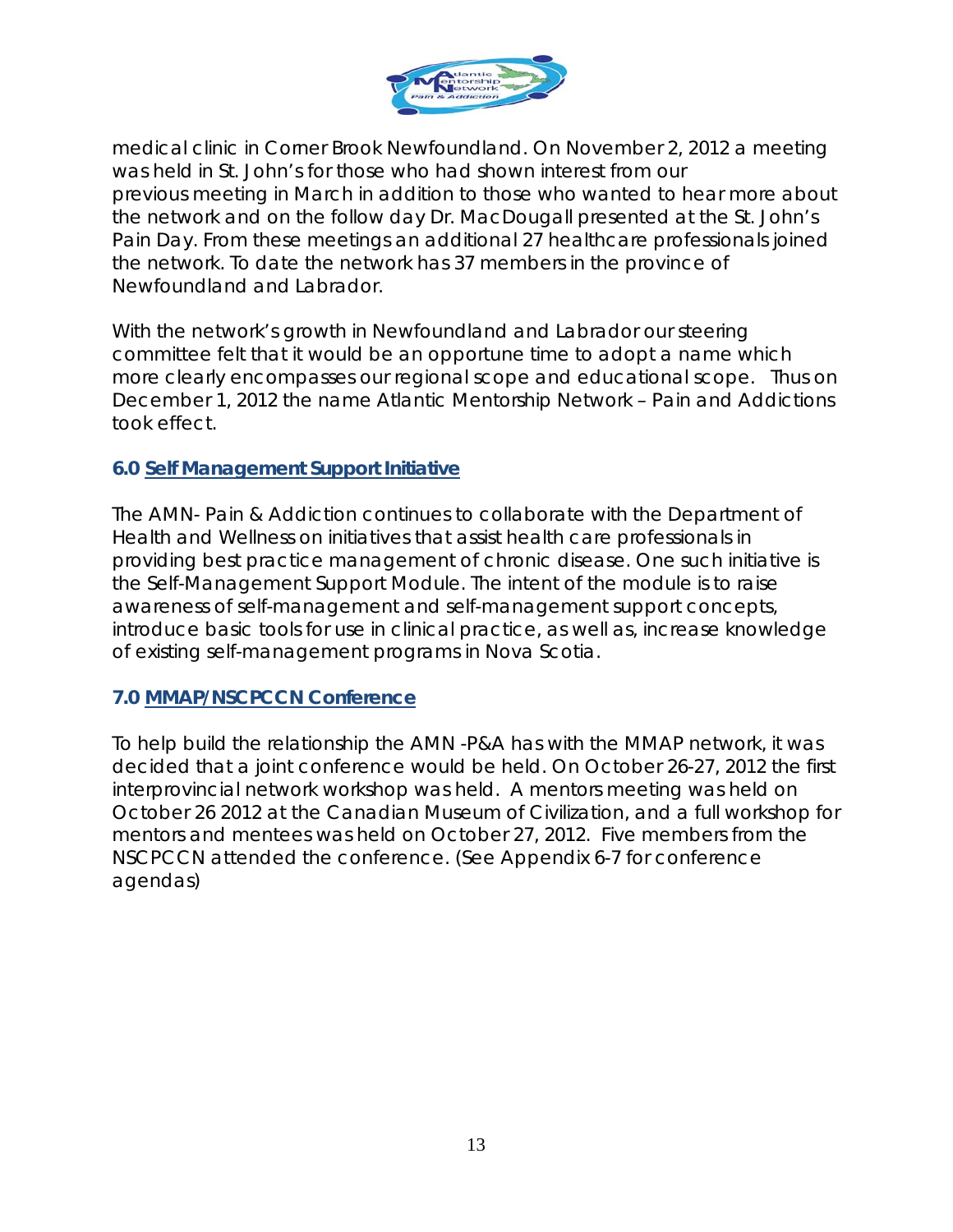

medical clinic in Corner Brook Newfoundland. On November 2, 2012 a meeting was held in St. John's for those who had shown interest from our previous meeting in March in addition to those who wanted to hear more about the network and on the follow day Dr. MacDougall presented at the St. John's Pain Day. From these meetings an additional 27 healthcare professionals joined the network. To date the network has 37 members in the province of Newfoundland and Labrador.

With the network's growth in Newfoundland and Labrador our steering committee felt that it would be an opportune time to adopt a name which more clearly encompasses our regional scope and educational scope. Thus on December 1, 2012 the name Atlantic Mentorship Network – Pain and Addictions took effect.

#### **6.0 Self Management Support Initiative**

The AMN- Pain & Addiction continues to collaborate with the Department of Health and Wellness on initiatives that assist health care professionals in providing best practice management of chronic disease. One such initiative is the Self-Management Support Module. The intent of the module is to raise awareness of self-management and self-management support concepts, introduce basic tools for use in clinical practice, as well as, increase knowledge of existing self-management programs in Nova Scotia.

#### **7.0 MMAP/NSCPCCN Conference**

To help build the relationship the AMN -P&A has with the MMAP network, it was decided that a joint conference would be held. On October 26-27, 2012 the first interprovincial network workshop was held. A mentors meeting was held on October 26 2012 at the Canadian Museum of Civilization, and a full workshop for mentors and mentees was held on October 27, 2012. Five members from the NSCPCCN attended the conference. (See Appendix 6-7 for conference agendas)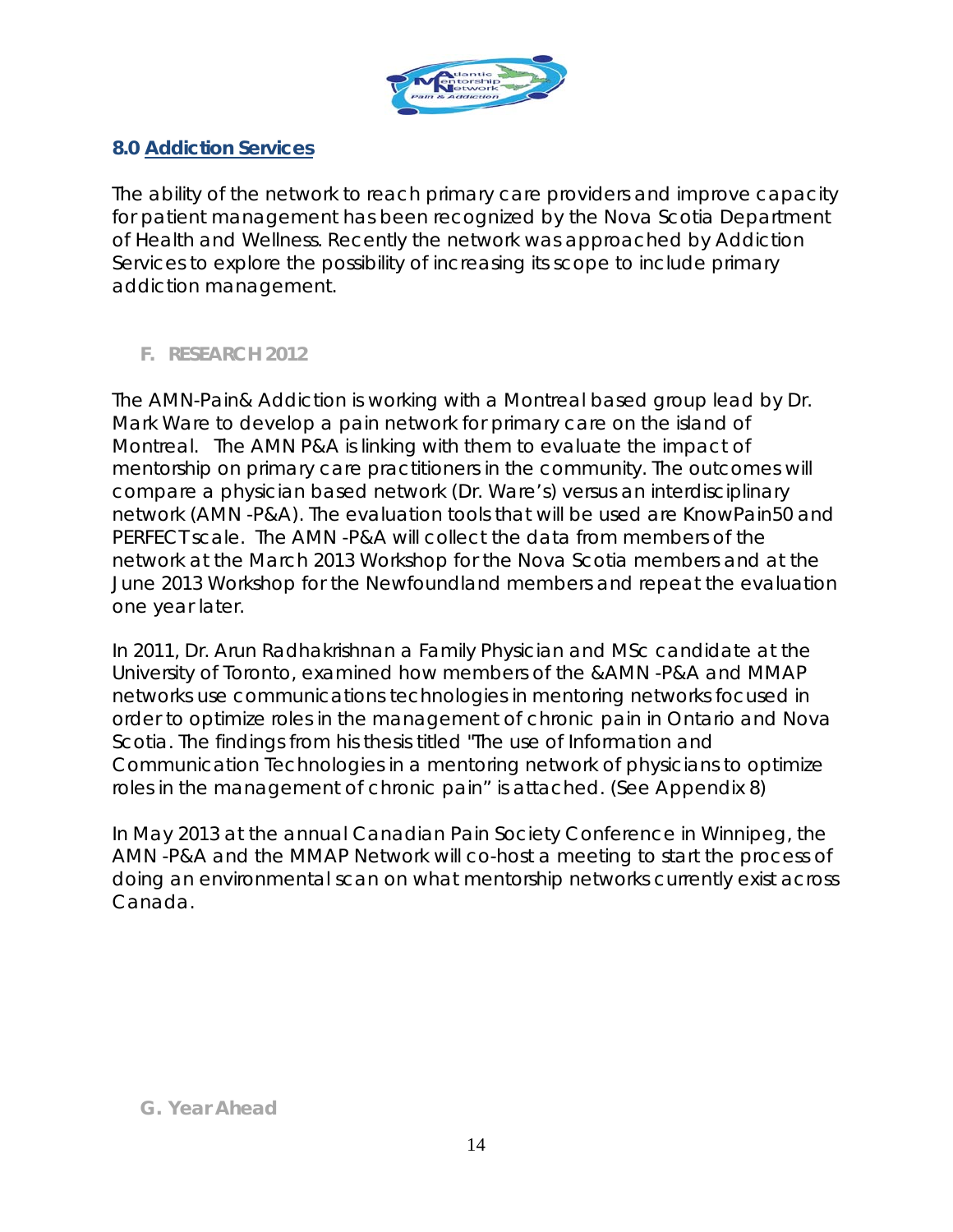

### **8.0 Addiction Services**

The ability of the network to reach primary care providers and improve capacity for patient management has been recognized by the Nova Scotia Department of Health and Wellness. Recently the network was approached by Addiction Services to explore the possibility of increasing its scope to include primary addiction management.

# *F. RESEARCH 2012*

The AMN-Pain& Addiction is working with a Montreal based group lead by Dr. Mark Ware to develop a pain network for primary care on the island of Montreal. The AMN P&A is linking with them to evaluate the impact of mentorship on primary care practitioners in the community. The outcomes will compare a physician based network (Dr. Ware's) versus an interdisciplinary network (AMN -P&A). The evaluation tools that will be used are KnowPain50 and PERFECT scale. The AMN -P&A will collect the data from members of the network at the March 2013 Workshop for the Nova Scotia members and at the June 2013 Workshop for the Newfoundland members and repeat the evaluation one year later.

In 2011, Dr. Arun Radhakrishnan a Family Physician and MSc candidate at the University of Toronto, examined how members of the &AMN -P&A and MMAP networks use communications technologies in mentoring networks focused in order to optimize roles in the management of chronic pain in Ontario and Nova Scotia. The findings from his thesis titled "The use of Information and Communication Technologies in a mentoring network of physicians to optimize roles in the management of chronic pain" is attached. (See Appendix 8)

In May 2013 at the annual Canadian Pain Society Conference in Winnipeg, the AMN -P&A and the MMAP Network will co-host a meeting to start the process of doing an environmental scan on what mentorship networks currently exist across Canada.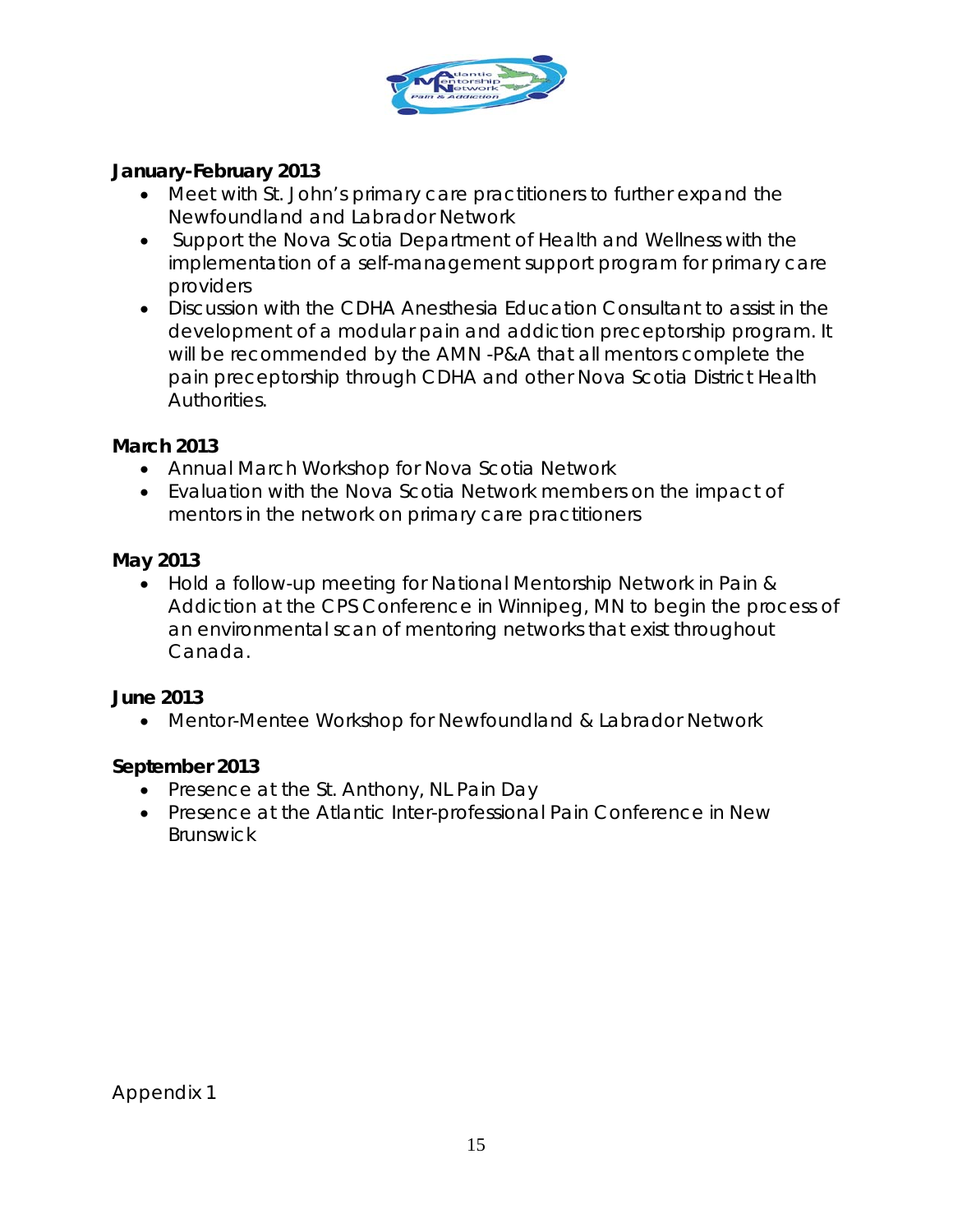

# **January-February 2013**

- Meet with St. John's primary care practitioners to further expand the Newfoundland and Labrador Network
- Support the Nova Scotia Department of Health and Wellness with the implementation of a self-management support program for primary care providers
- Discussion with the CDHA Anesthesia Education Consultant to assist in the development of a modular pain and addiction preceptorship program. It will be recommended by the AMN -P&A that all mentors complete the pain preceptorship through CDHA and other Nova Scotia District Health Authorities.

#### **March 2013**

- Annual March Workshop for Nova Scotia Network
- Evaluation with the Nova Scotia Network members on the impact of mentors in the network on primary care practitioners

### **May 2013**

• Hold a follow-up meeting for National Mentorship Network in Pain & Addiction at the CPS Conference in Winnipeg, MN to begin the process of an environmental scan of mentoring networks that exist throughout Canada.

#### **June 2013**

• Mentor-Mentee Workshop for Newfoundland & Labrador Network

# **September 2013**

- Presence at the St. Anthony, NL Pain Day
- Presence at the Atlantic Inter-professional Pain Conference in New Brunswick

Appendix 1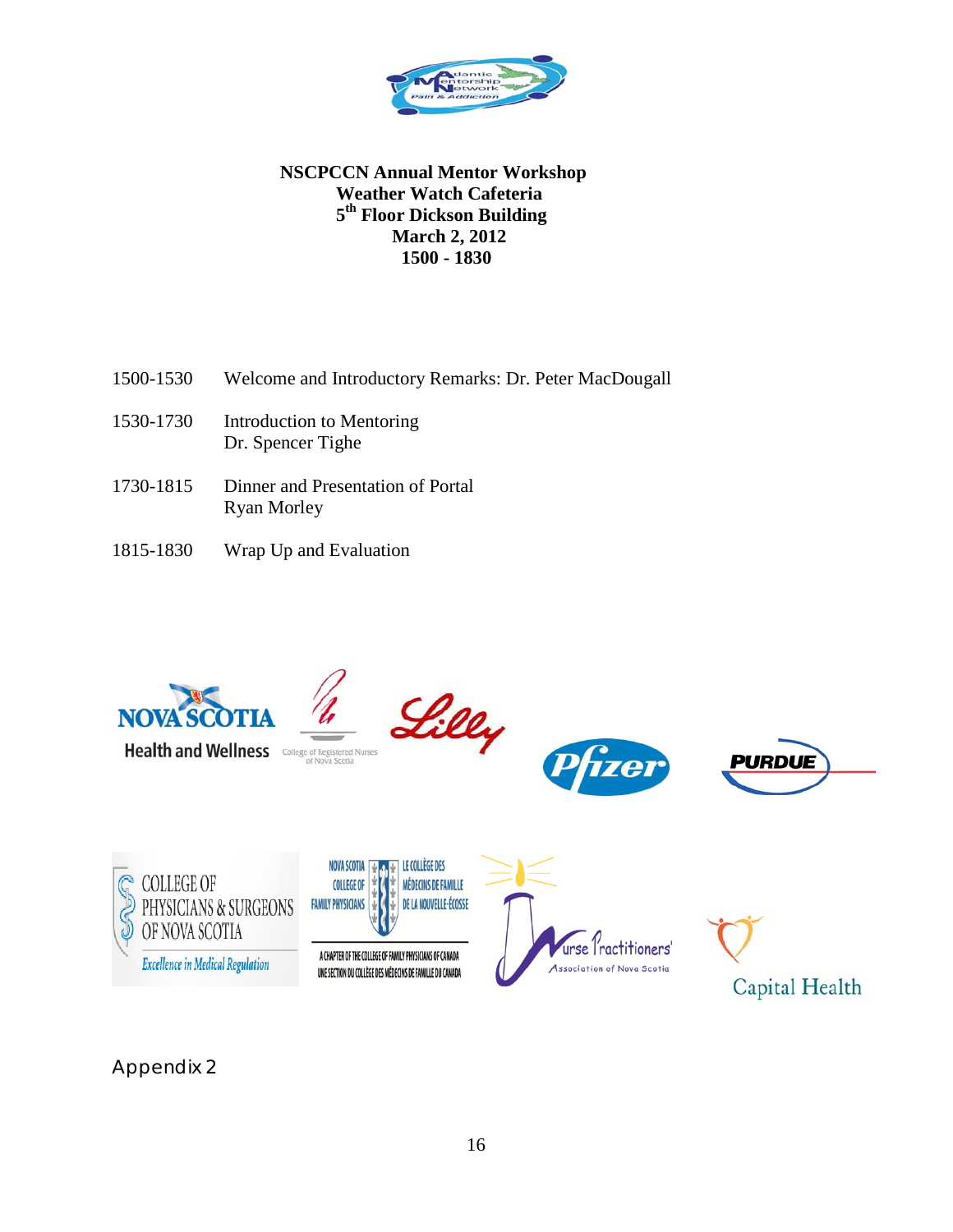

#### **NSCPCCN Annual Mentor Workshop Weather Watch Cafeteria 5th Floor Dickson Building March 2, 2012 1500 - 1830**

- 1500-1530 Welcome and Introductory Remarks: Dr. Peter MacDougall
- 1530-1730 Introduction to Mentoring Dr. Spencer Tighe
- 1730-1815 Dinner and Presentation of Portal Ryan Morley
- 1815-1830 Wrap Up and Evaluation



Appendix 2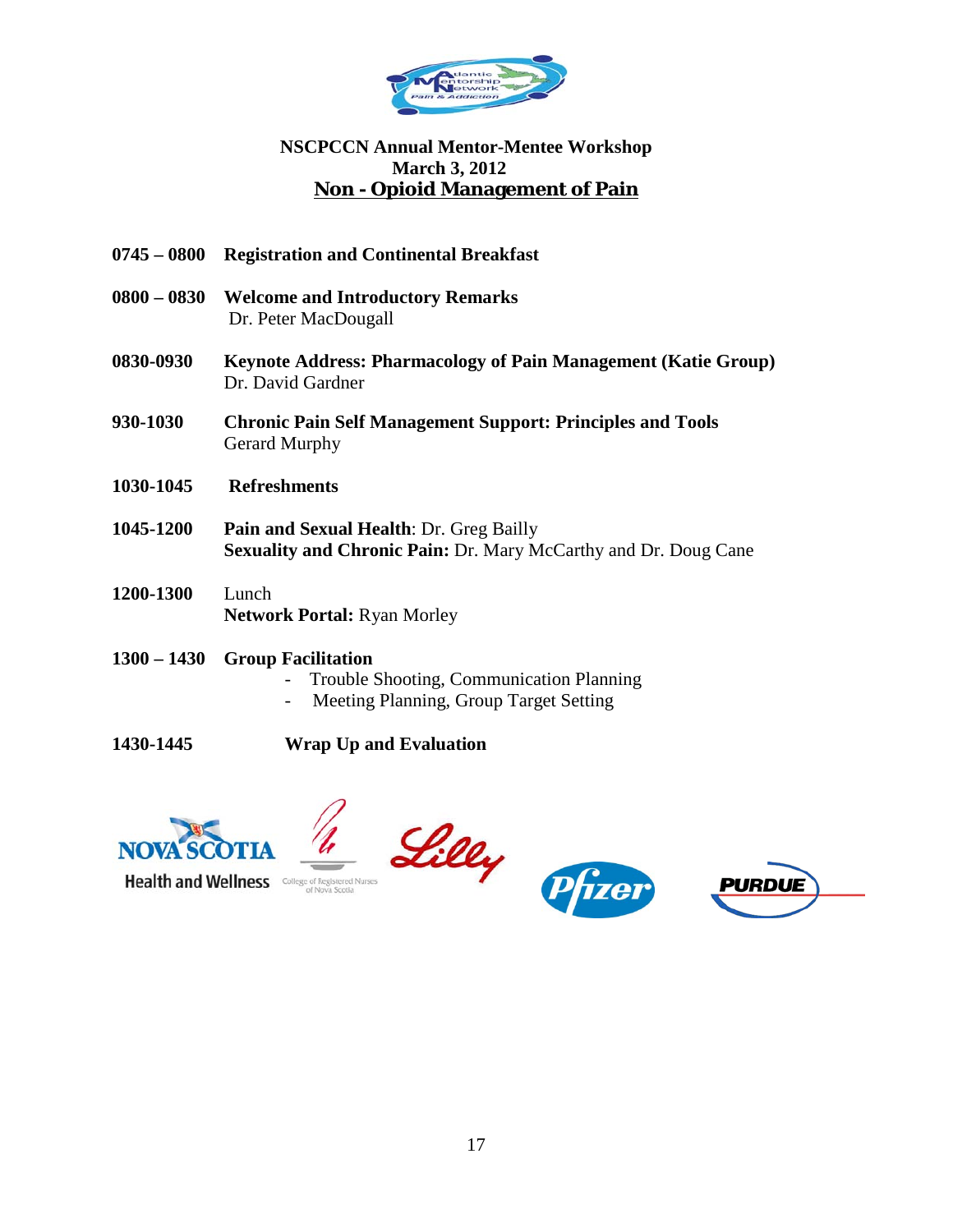

#### **NSCPCCN Annual Mentor-Mentee Workshop March 3, 2012 Non - Opioid Management of Pain**

- **0745 – 0800 Registration and Continental Breakfast**
- **0800 – 0830 Welcome and Introductory Remarks** Dr. Peter MacDougall
- **0830-0930 Keynote Address: Pharmacology of Pain Management (Katie Group)** Dr. David Gardner
- **930-1030 Chronic Pain Self Management Support: Principles and Tools** Gerard Murphy
- **1030-1045 Refreshments**
- **1045-1200 Pain and Sexual Health**: Dr. Greg Bailly **Sexuality and Chronic Pain:** Dr. Mary McCarthy and Dr. Doug Cane
- **1200-1300** Lunch **Network Portal:** Ryan Morley
- **1300 – 1430 Group Facilitation**
	- Trouble Shooting, Communication Planning
	- Meeting Planning, Group Target Setting
- **1430-1445 Wrap Up and Evaluation**





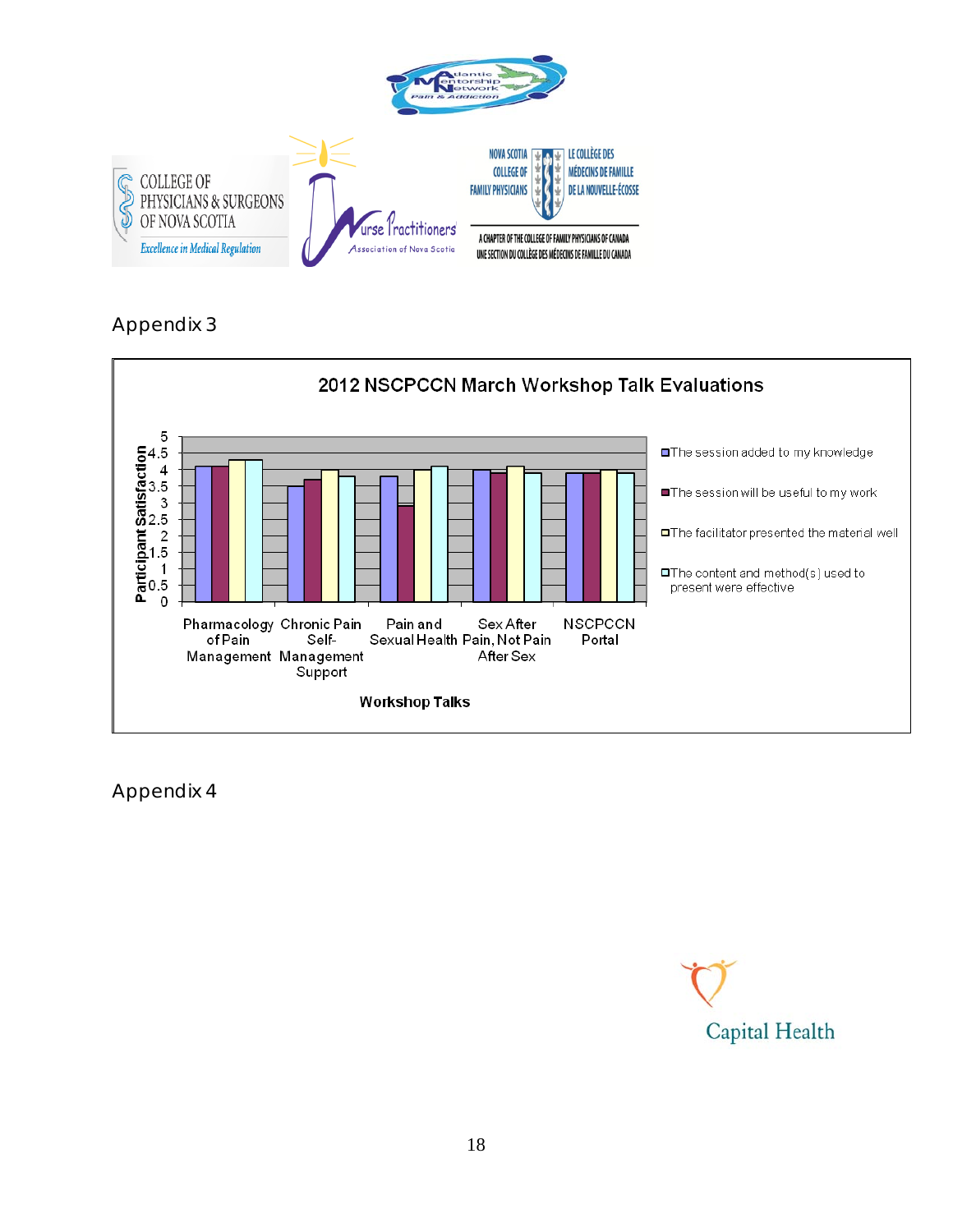



Appendix 4

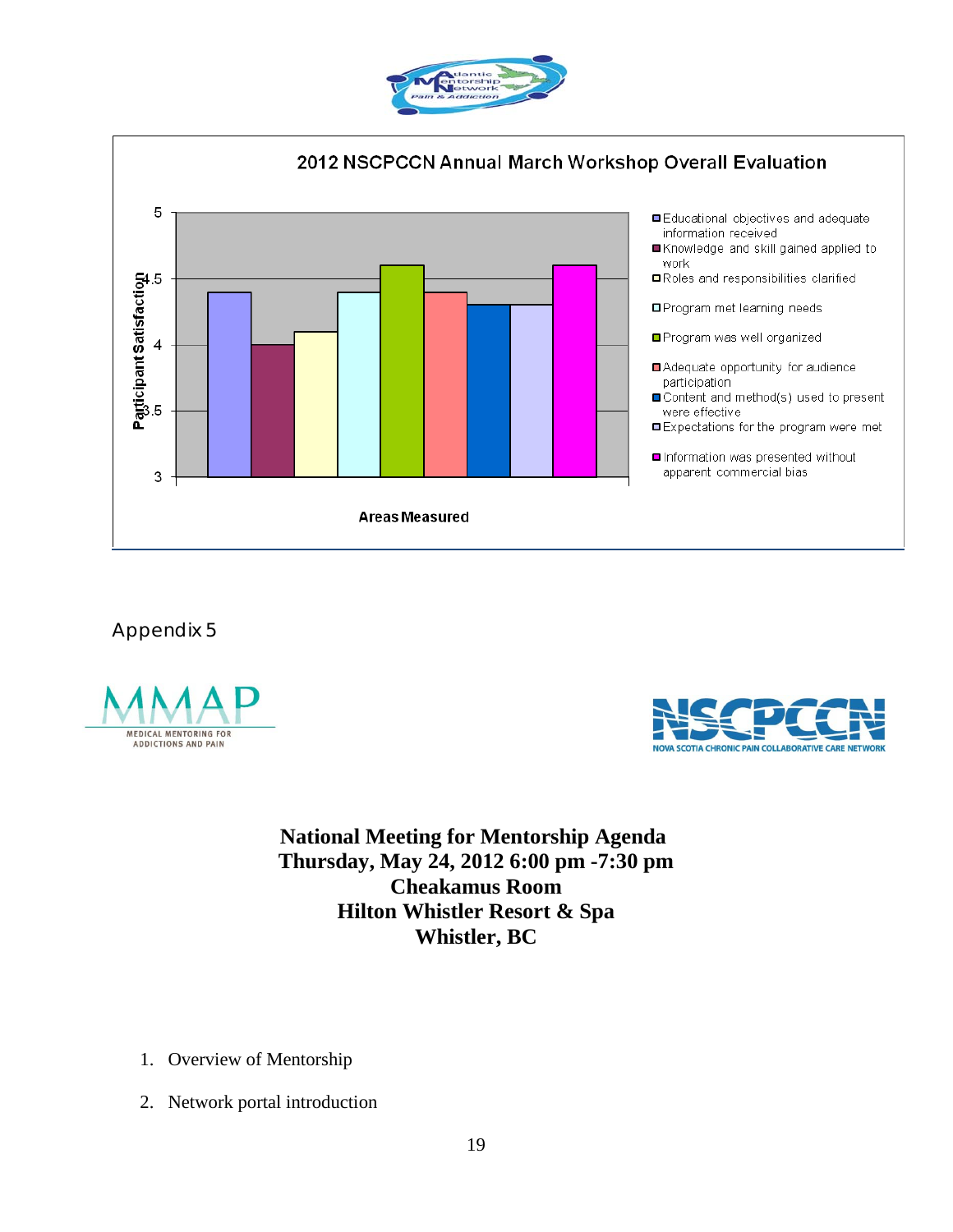







**National Meeting for Mentorship Agenda Thursday, May 24, 2012 6:00 pm -7:30 pm Cheakamus Room Hilton Whistler Resort & Spa Whistler, BC**

- 1. Overview of Mentorship
- 2. Network portal introduction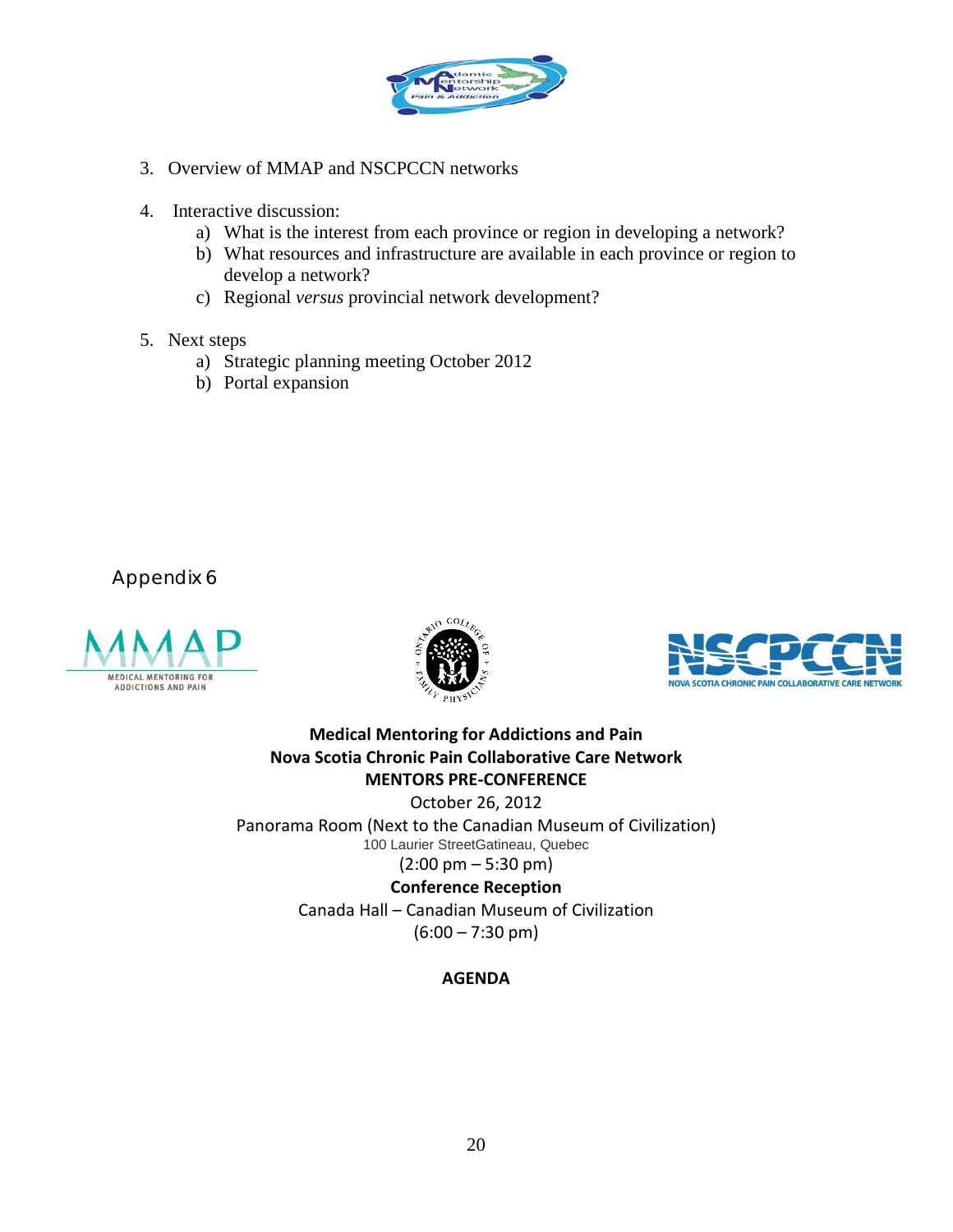

- 3. Overview of MMAP and NSCPCCN networks
- 4. Interactive discussion:
	- a) What is the interest from each province or region in developing a network?
	- b) What resources and infrastructure are available in each province or region to develop a network?
	- c) Regional *versus* provincial network development?
- 5. Next steps
	- a) Strategic planning meeting October 2012
	- b) Portal expansion







**Medical Mentoring for Addictions and Pain Nova Scotia Chronic Pain Collaborative Care Network MENTORS PRE-CONFERENCE** October 26, 2012

Panorama Room (Next to the Canadian Museum of Civilization) 100 Laurier StreetGatineau, Quebec  $(2:00 \text{ pm} - 5:30 \text{ pm})$ 

> **Conference Reception** Canada Hall – Canadian Museum of Civilization  $(6:00 - 7:30 \text{ pm})$

#### **AGENDA**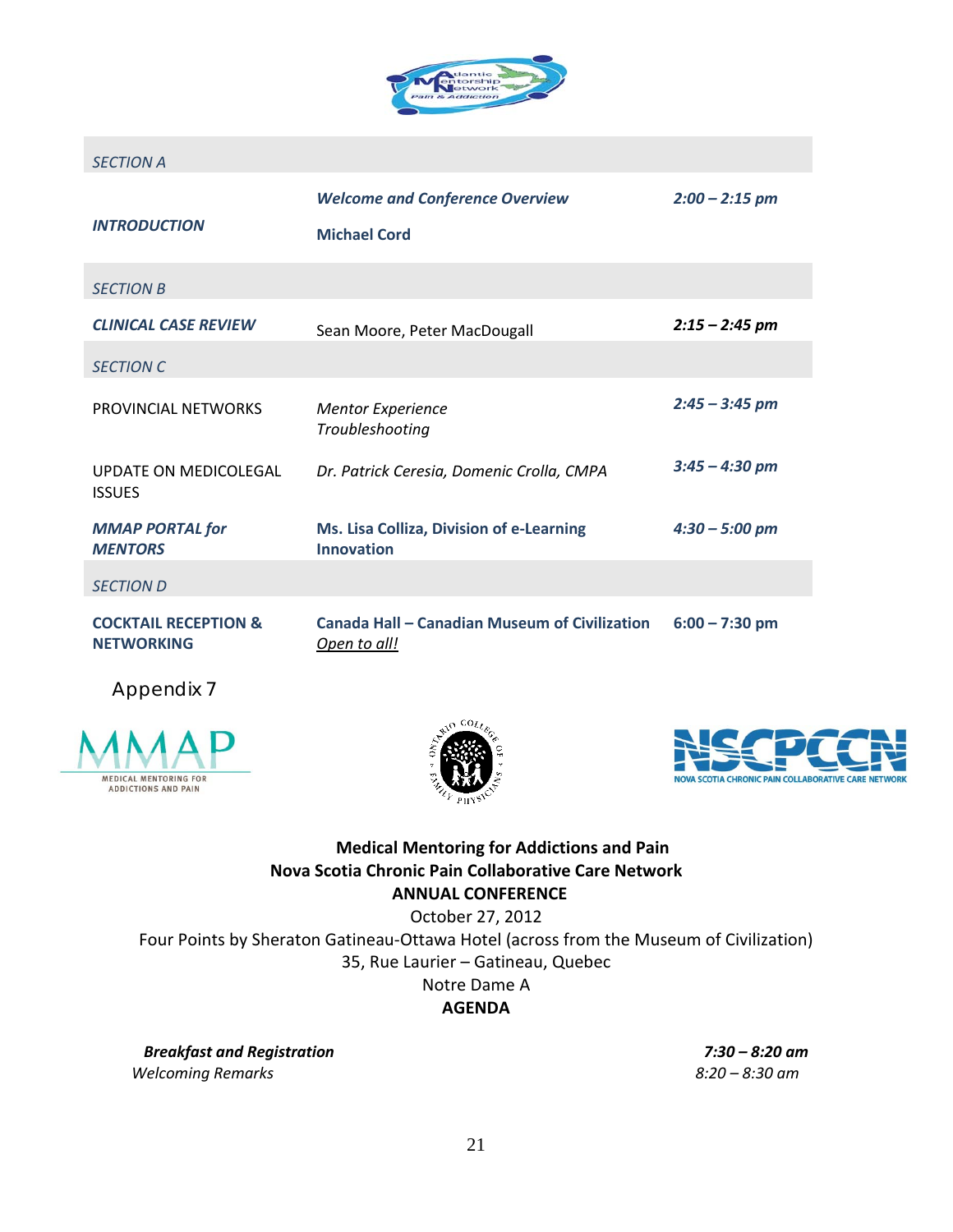

#### *SECTION A*

| <b>INTRODUCTION</b>                                  | <b>Welcome and Conference Overview</b><br><b>Michael Cord</b> | $2:00 - 2:15$ pm |
|------------------------------------------------------|---------------------------------------------------------------|------------------|
| <b>SECTION B</b>                                     |                                                               |                  |
| <b>CLINICAL CASE REVIEW</b>                          | Sean Moore, Peter MacDougall                                  | $2:15 - 2:45$ pm |
| <b>SECTION C</b>                                     |                                                               |                  |
| PROVINCIAL NETWORKS                                  | <b>Mentor Experience</b><br>Troubleshooting                   | $2:45 - 3:45$ pm |
| UPDATE ON MEDICOLEGAL<br><b>ISSUES</b>               | Dr. Patrick Ceresia, Domenic Crolla, CMPA                     | $3:45 - 4:30$ pm |
| <b>MMAP PORTAL for</b><br><b>MENTORS</b>             | Ms. Lisa Colliza, Division of e-Learning<br><b>Innovation</b> | $4:30 - 5:00$ pm |
| <b>SECTION D</b>                                     |                                                               |                  |
| <b>COCKTAIL RECEPTION &amp;</b><br><b>NETWORKING</b> | Canada Hall – Canadian Museum of Civilization<br>Open to all! | $6:00 - 7:30$ pm |

Appendix 7







#### **Medical Mentoring for Addictions and Pain Nova Scotia Chronic Pain Collaborative Care Network ANNUAL CONFERENCE**

October 27, 2012

Four Points by Sheraton Gatineau-Ottawa Hotel (across from the Museum of Civilization)

35, Rue Laurier – Gatineau, Quebec

Notre Dame A

**AGENDA**

*Breakfast and Registration 7:30 – 8:20 am Welcoming Remarks 8:20 – 8:30 am*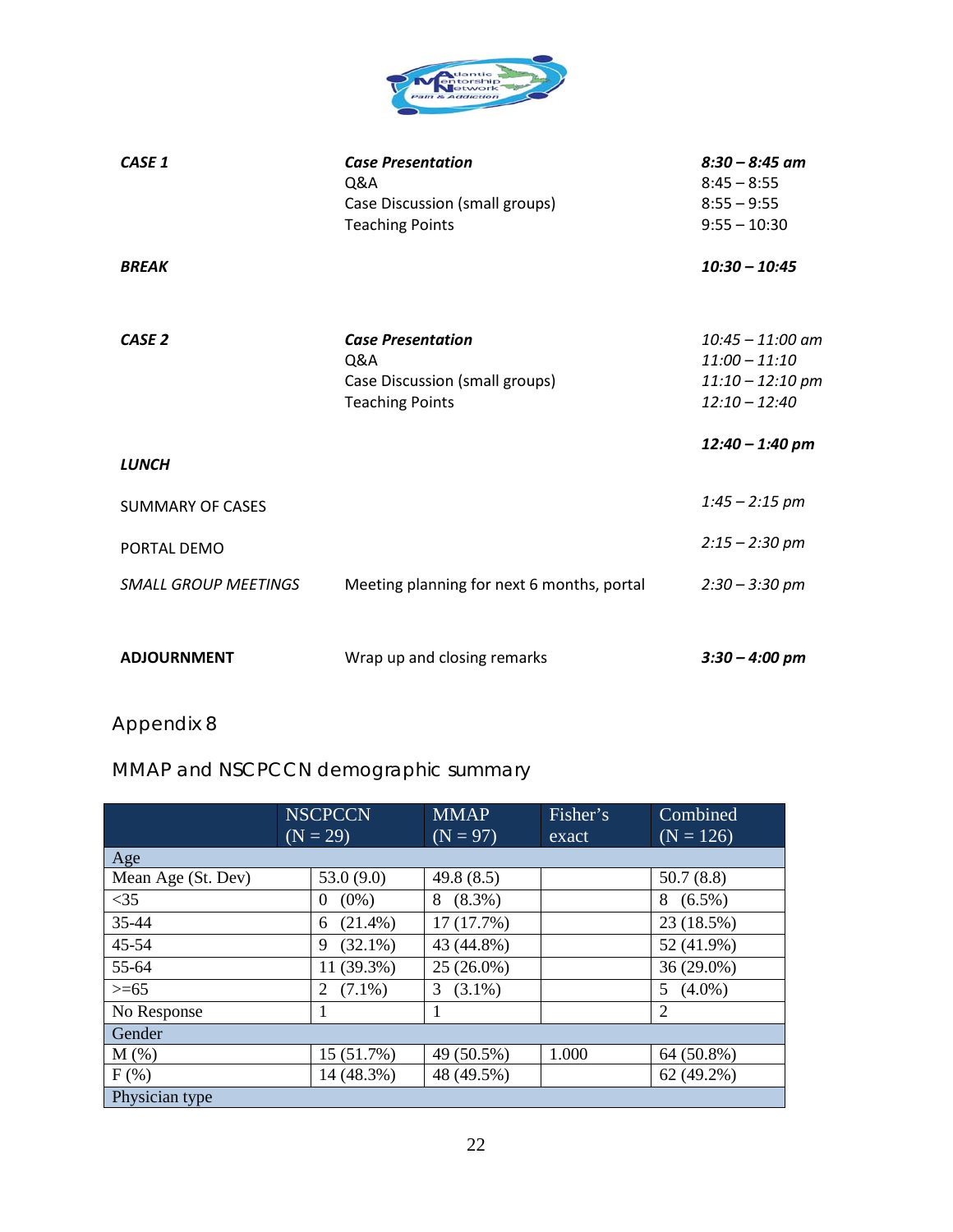

| CASE 1                      | <b>Case Presentation</b><br>Q&A<br>Case Discussion (small groups)<br><b>Teaching Points</b> | $8:30 - 8:45$ am<br>$8:45 - 8:55$<br>$8:55 - 9:55$<br>$9:55 - 10:30$           |
|-----------------------------|---------------------------------------------------------------------------------------------|--------------------------------------------------------------------------------|
| <b>BREAK</b>                |                                                                                             | $10:30 - 10:45$                                                                |
| CASE <sub>2</sub>           | <b>Case Presentation</b><br>Q&A<br>Case Discussion (small groups)<br><b>Teaching Points</b> | $10:45 - 11:00$ am<br>$11:00 - 11:10$<br>$11:10 - 12:10$ pm<br>$12:10 - 12:40$ |
| <b>LUNCH</b>                |                                                                                             | $12:40 - 1:40$ pm                                                              |
| <b>SUMMARY OF CASES</b>     |                                                                                             | $1:45 - 2:15$ pm                                                               |
| PORTAL DEMO                 |                                                                                             | $2:15 - 2:30$ pm                                                               |
| <b>SMALL GROUP MEETINGS</b> | Meeting planning for next 6 months, portal                                                  | $2:30 - 3:30$ pm                                                               |
| <b>ADJOURNMENT</b>          | Wrap up and closing remarks                                                                 | $3:30 - 4:00$ pm                                                               |

# MMAP and NSCPCCN demographic summary

|                    | <b>NSCPCCN</b>      | <b>MMAP</b>    | Fisher's | Combined        |
|--------------------|---------------------|----------------|----------|-----------------|
|                    | $(N = 29)$          | $(N = 97)$     | exact    | $(N = 126)$     |
| Age                |                     |                |          |                 |
| Mean Age (St. Dev) | 53.0(9.0)           | 49.8(8.5)      |          | 50.7(8.8)       |
| <35                | $(0\%)$<br>$\theta$ | $8(8.3\%)$     |          | $8(6.5\%)$      |
| $35 - 44$          | $(21.4\%)$<br>6     | 17 (17.7%)     |          | 23 (18.5%)      |
| 45-54              | $(32.1\%)$<br>9     | 43 (44.8%)     |          | 52 (41.9%)      |
| 55-64              | 11 (39.3%)          | $25(26.0\%)$   |          | 36 (29.0%)      |
| $>= 65$            | $(7.1\%)$<br>2      | $(3.1\%)$<br>3 |          | $(4.0\%)$<br>5. |
| No Response        | 1                   | 1              |          | $\overline{2}$  |
| Gender             |                     |                |          |                 |
| $M(\%)$            | 15 (51.7%)          | 49 (50.5%)     | 1.000    | 64 (50.8%)      |
| $F$ (%)            | 14 (48.3%)          | 48 (49.5%)     |          | 62 (49.2%)      |
| Physician type     |                     |                |          |                 |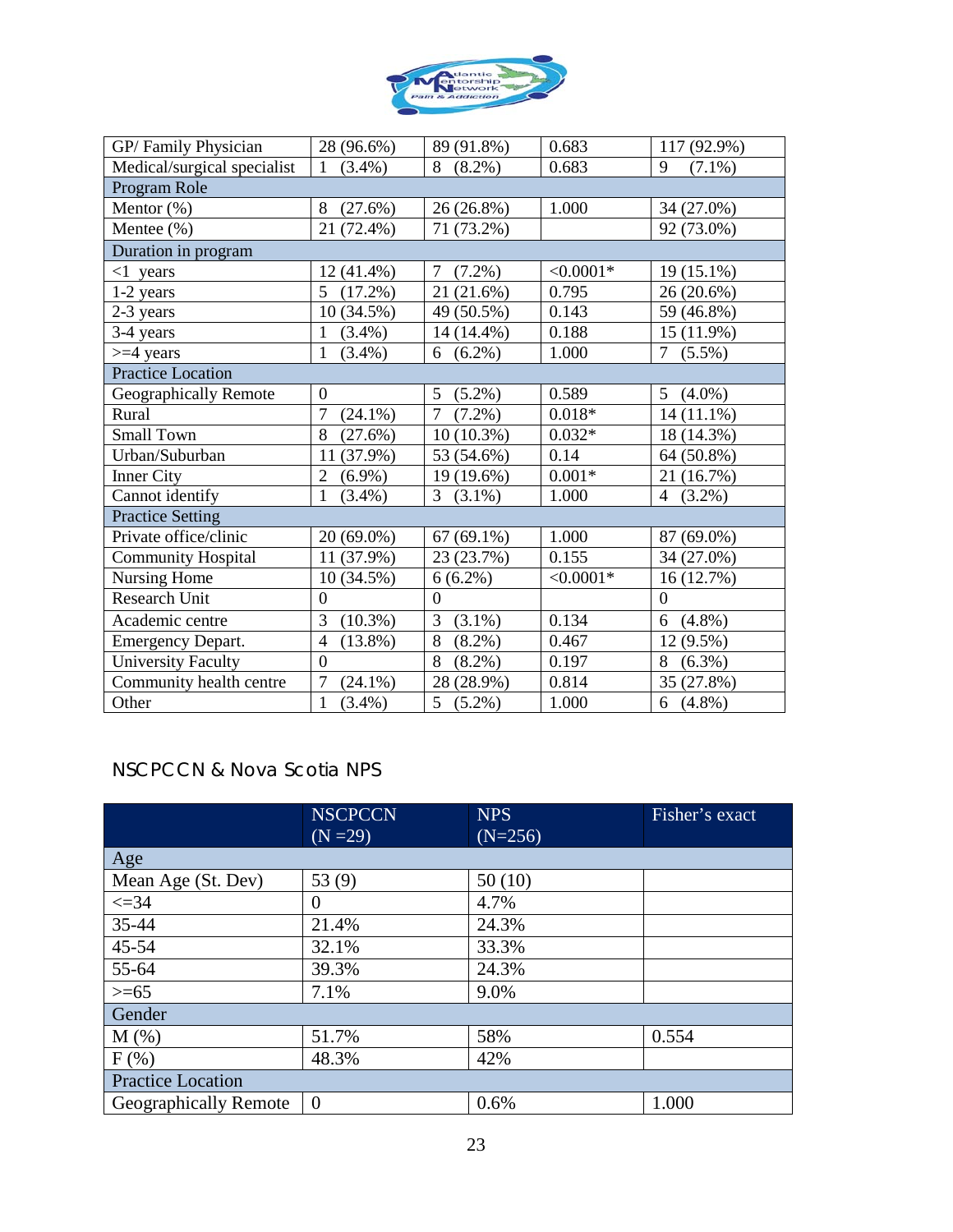

| GP/Family Physician         | 28 (96.6%)                   | 89 (91.8%)                  | 0.683       | 117 (92.9%)                 |
|-----------------------------|------------------------------|-----------------------------|-------------|-----------------------------|
| Medical/surgical specialist | $\overline{1}$<br>$(3.4\%)$  | $(8.2\%)$<br>8              | 0.683       | 9<br>$(7.1\%)$              |
| Program Role                |                              |                             |             |                             |
| Mentor $(\%)$               | 8<br>(27.6%)                 | $26(26.8\%)$                | 1.000       | 34 (27.0%)                  |
| Mentee (%)                  | 21 (72.4%)                   | 71 (73.2%)                  |             | 92 (73.0%)                  |
| Duration in program         |                              |                             |             |                             |
| $\leq 1$ years              | $12(41.4\%)$                 | 7<br>$(7.2\%)$              | $< 0.0001*$ | 19 (15.1%)                  |
| $1-2$ years                 | 5<br>$(17.2\%)$              | $(21.6\%)$<br>21            | 0.795       | 26 (20.6%)                  |
| 2-3 years                   | 10(34.5%)                    | 49 (50.5%)                  | 0.143       | 59 (46.8%)                  |
| 3-4 years                   | $(3.4\%)$<br>$\mathbf{1}$    | 14 (14.4%)                  | 0.188       | 15 (11.9%)                  |
| $>=$ 4 years                | $\mathbf{1}$<br>$(3.4\%)$    | $(6.2\%)$<br>6              | 1.000       | 7<br>$(5.5\%)$              |
| <b>Practice Location</b>    |                              |                             |             |                             |
| Geographically Remote       | $\boldsymbol{0}$             | 5<br>$(5.2\%)$              | 0.589       | $(4.0\%)$<br>5 <sup>5</sup> |
| Rural                       | $\tau$<br>$(24.1\%)$         | $\overline{7}$<br>$(7.2\%)$ | $0.018*$    | 14 (11.1%)                  |
| <b>Small Town</b>           | 8<br>(27.6%)                 | $10(10.3\%)$                | $0.032*$    | 18 (14.3%)                  |
| Urban/Suburban              | 11 (37.9%)                   | 53 (54.6%)                  | 0.14        | 64 (50.8%)                  |
| Inner City                  | $\overline{2}$<br>$(6.9\%)$  | 19 (19.6%)                  | $0.001*$    | 21 (16.7%)                  |
| Cannot identify             | $\mathbf{1}$<br>$(3.4\%)$    | 3<br>$(3.1\%)$              | 1.000       | $(3.2\%)$<br>4              |
| <b>Practice Setting</b>     |                              |                             |             |                             |
| Private office/clinic       | 20 (69.0%)                   | $67(69.1\%)$                | 1.000       | 87 (69.0%)                  |
| <b>Community Hospital</b>   | 11 (37.9%)                   | 23 (23.7%)                  | 0.155       | 34 (27.0%)                  |
| Nursing Home                | 10(34.5%)                    | $6(6.2\%)$                  | $< 0.0001*$ | 16 (12.7%)                  |
| <b>Research Unit</b>        | $\overline{0}$               | $\mathbf{0}$                |             | $\mathbf{0}$                |
| Academic centre             | 3<br>$(10.3\%)$              | 3<br>$(3.1\%)$              | 0.134       | $(4.8\%)$<br>6              |
| <b>Emergency Depart.</b>    | $\overline{4}$<br>$(13.8\%)$ | 8<br>$(8.2\%)$              | 0.467       | 12 (9.5%)                   |
| <b>University Faculty</b>   | $\overline{0}$               | 8<br>$(8.2\%)$              | 0.197       | 8<br>$(6.3\%)$              |
| Community health centre     | $\tau$<br>$(24.1\%)$         | 28 (28.9%)                  | 0.814       | 35 (27.8%)                  |
| Other                       | $\mathbf{1}$<br>$(3.4\%)$    | $(5.2\%)$<br>5 <sup>5</sup> | 1.000       | $6(4.8\%)$                  |

# NSCPCCN & Nova Scotia NPS

|                              | <b>NSCPCCN</b> | <b>NPS</b> | Fisher's exact |
|------------------------------|----------------|------------|----------------|
|                              | $(N = 29)$     | $(N=256)$  |                |
| Age                          |                |            |                |
| Mean Age (St. Dev)           | 53 $(9)$       | 50(10)     |                |
| $\leq 34$                    | 0              | 4.7%       |                |
| 35-44                        | 21.4%          | 24.3%      |                |
| 45-54                        | 32.1%          | 33.3%      |                |
| 55-64                        | 39.3%          | 24.3%      |                |
| $>= 65$                      | 7.1%           | 9.0%       |                |
| Gender                       |                |            |                |
| M(%)                         | 51.7%          | 58%        | 0.554          |
| $F$ (%)                      | 48.3%          | 42%        |                |
| <b>Practice Location</b>     |                |            |                |
| <b>Geographically Remote</b> | $\theta$       | 0.6%       | 1.000          |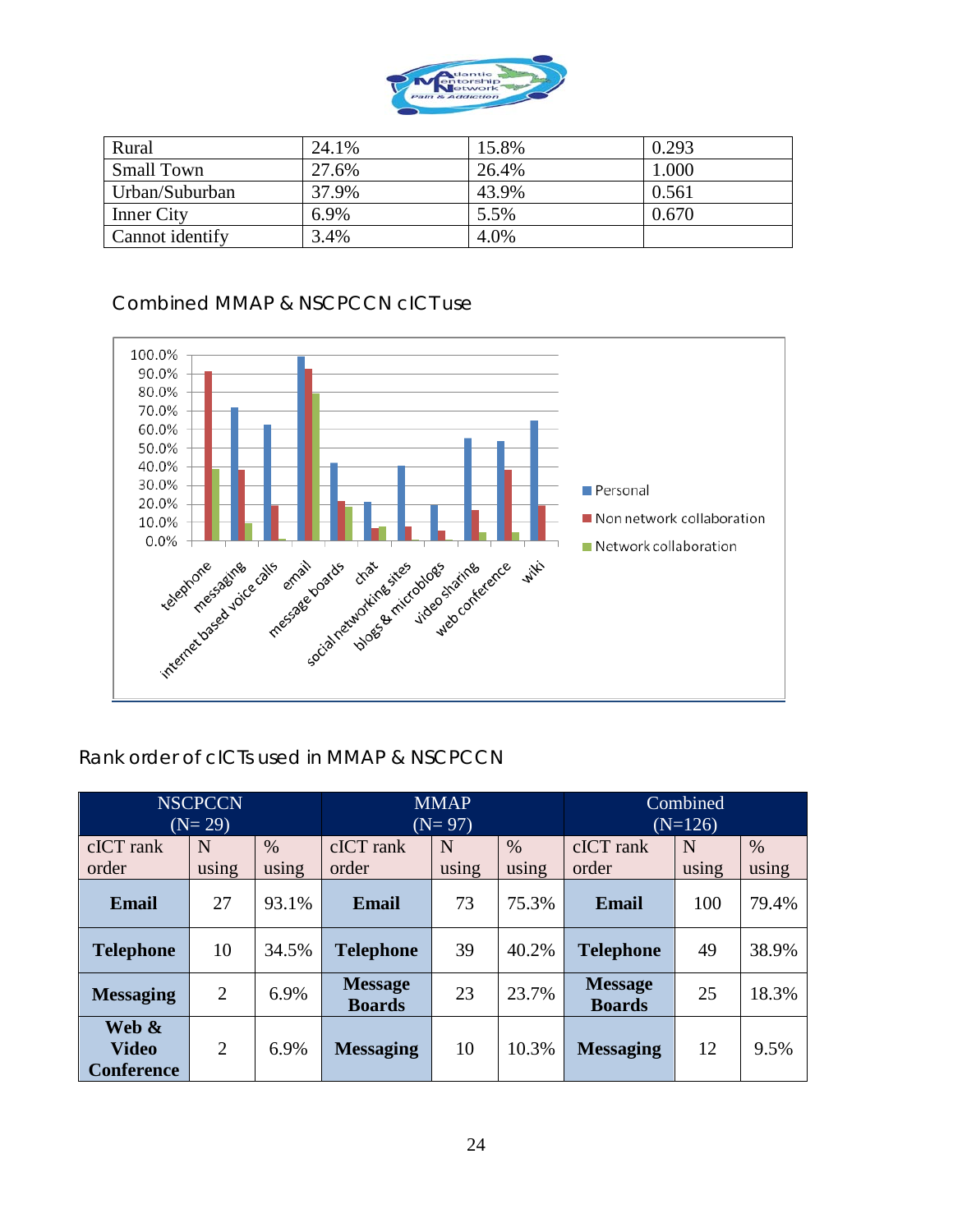

| Rural             | 24.1% | 15.8% | 0.293 |
|-------------------|-------|-------|-------|
| <b>Small Town</b> | 27.6% | 26.4% | 1.000 |
| Urban/Suburban    | 37.9% | 43.9% | 0.561 |
| <b>Inner City</b> | 6.9%  | 5.5%  | 0.670 |
| Cannot identify   | 3.4%  | 4.0%  |       |

# Combined MMAP & NSCPCCN cICT use



# Rank order of cICTs used in MMAP & NSCPCCN

|                                            | <b>NSCPCCN</b><br>$(N=29)$ |               |                                 | <b>MMAP</b><br>$(N=97)$ |               | Combined<br>$(N=126)$           |            |               |
|--------------------------------------------|----------------------------|---------------|---------------------------------|-------------------------|---------------|---------------------------------|------------|---------------|
| cICT rank<br>order                         | N<br>using                 | $\%$<br>using | cICT rank<br>order              | N<br>using              | $\%$<br>using | cICT rank<br>order              | N<br>using | $\%$<br>using |
| <b>Email</b>                               | 27                         | 93.1%         | <b>Email</b>                    | 73                      | 75.3%         | Email                           | 100        | 79.4%         |
| <b>Telephone</b>                           | 10                         | 34.5%         | <b>Telephone</b>                | 39                      | 40.2%         | <b>Telephone</b>                | 49         | 38.9%         |
| <b>Messaging</b>                           | $\overline{2}$             | 6.9%          | <b>Message</b><br><b>Boards</b> | 23                      | 23.7%         | <b>Message</b><br><b>Boards</b> | 25         | 18.3%         |
| Web &<br><b>Video</b><br><b>Conference</b> | 2                          | 6.9%          | <b>Messaging</b>                | 10                      | 10.3%         | <b>Messaging</b>                | 12         | 9.5%          |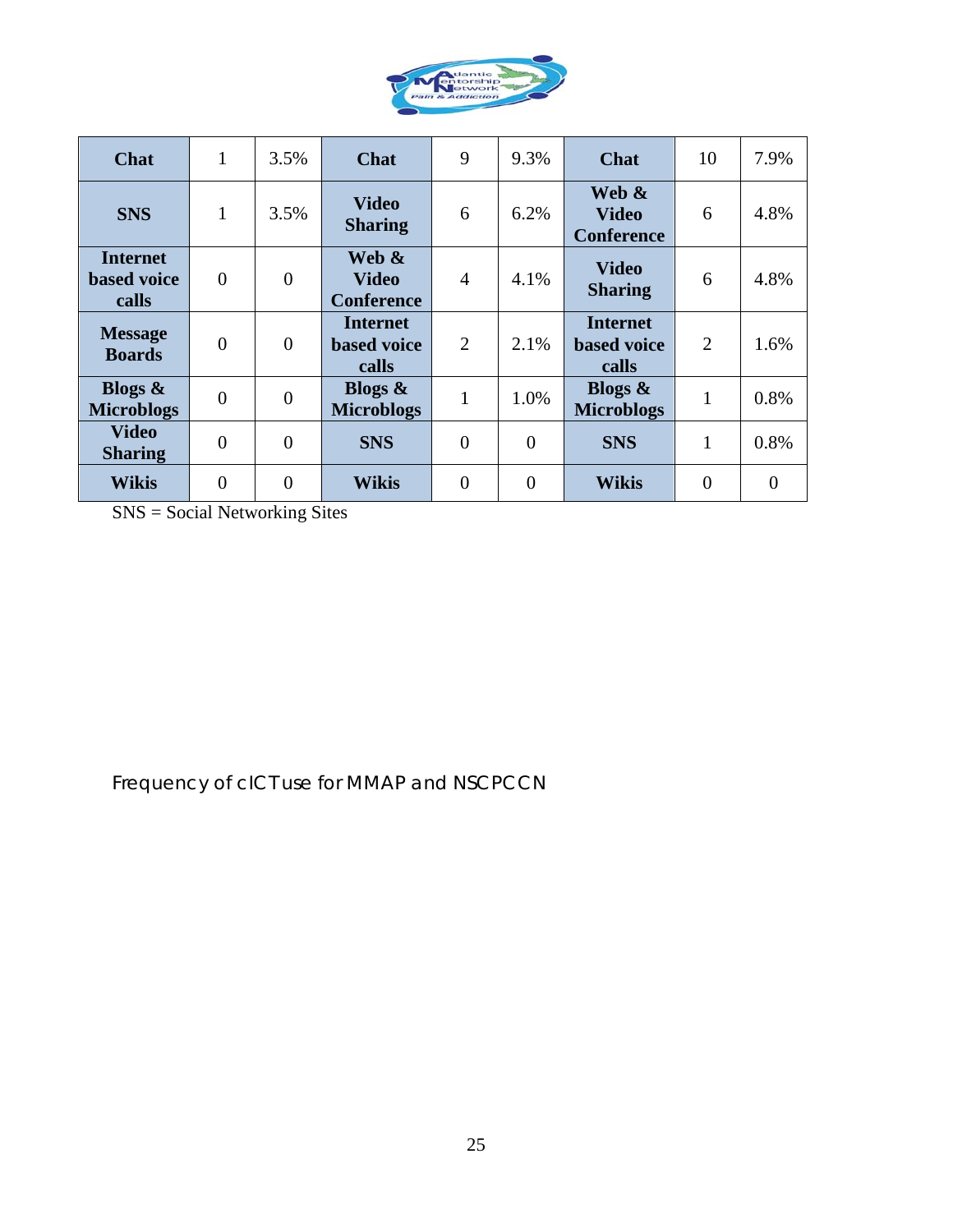

| <b>Chat</b>                                    | $\mathbf{1}$   | 3.5%           | <b>Chat</b>                                    | 9              | 9.3%           | <b>Chat</b>                                    | 10             | 7.9%     |
|------------------------------------------------|----------------|----------------|------------------------------------------------|----------------|----------------|------------------------------------------------|----------------|----------|
| <b>SNS</b>                                     | $\mathbf{1}$   | 3.5%           | <b>Video</b><br><b>Sharing</b>                 | 6              | 6.2%           | Web &<br><b>Video</b><br><b>Conference</b>     | 6              | 4.8%     |
| <b>Internet</b><br><b>based</b> voice<br>calls | $\overline{0}$ | $\overline{0}$ | Web &<br><b>Video</b><br><b>Conference</b>     | $\overline{4}$ | 4.1%           | <b>Video</b><br><b>Sharing</b>                 | 6              | 4.8%     |
| <b>Message</b><br><b>Boards</b>                | $\theta$       | $\theta$       | <b>Internet</b><br><b>based</b> voice<br>calls | $\overline{2}$ | 2.1%           | <b>Internet</b><br><b>based</b> voice<br>calls | $\overline{2}$ | 1.6%     |
| Blogs $\&$<br><b>Microblogs</b>                | $\theta$       | $\overline{0}$ | Blogs $\&$<br><b>Microblogs</b>                | 1              | 1.0%           | Blogs $\&$<br><b>Microblogs</b>                | $\mathbf{1}$   | 0.8%     |
| <b>Video</b><br><b>Sharing</b>                 | $\overline{0}$ | $\theta$       | <b>SNS</b>                                     | $\overline{0}$ | $\overline{0}$ | <b>SNS</b>                                     | 1              | 0.8%     |
| <b>Wikis</b>                                   | $\overline{0}$ | $\overline{0}$ | <b>Wikis</b>                                   | $\overline{0}$ | $\theta$       | <b>Wikis</b>                                   | $\overline{0}$ | $\theta$ |

SNS = Social Networking Sites

Frequency of cICT use for MMAP and NSCPCCN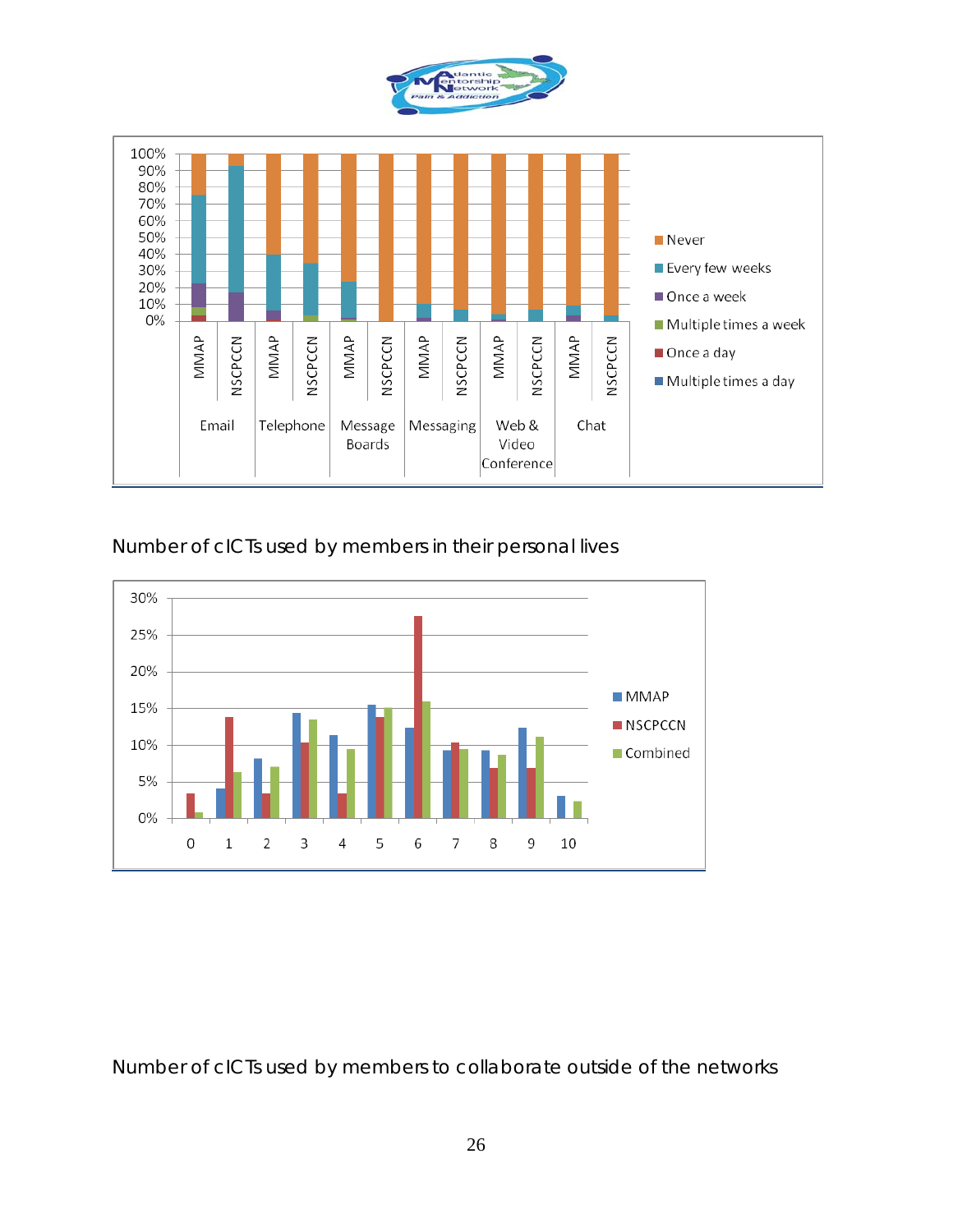

Number of cICTs used by members in their personal lives



Number of cICTs used by members to collaborate outside of the networks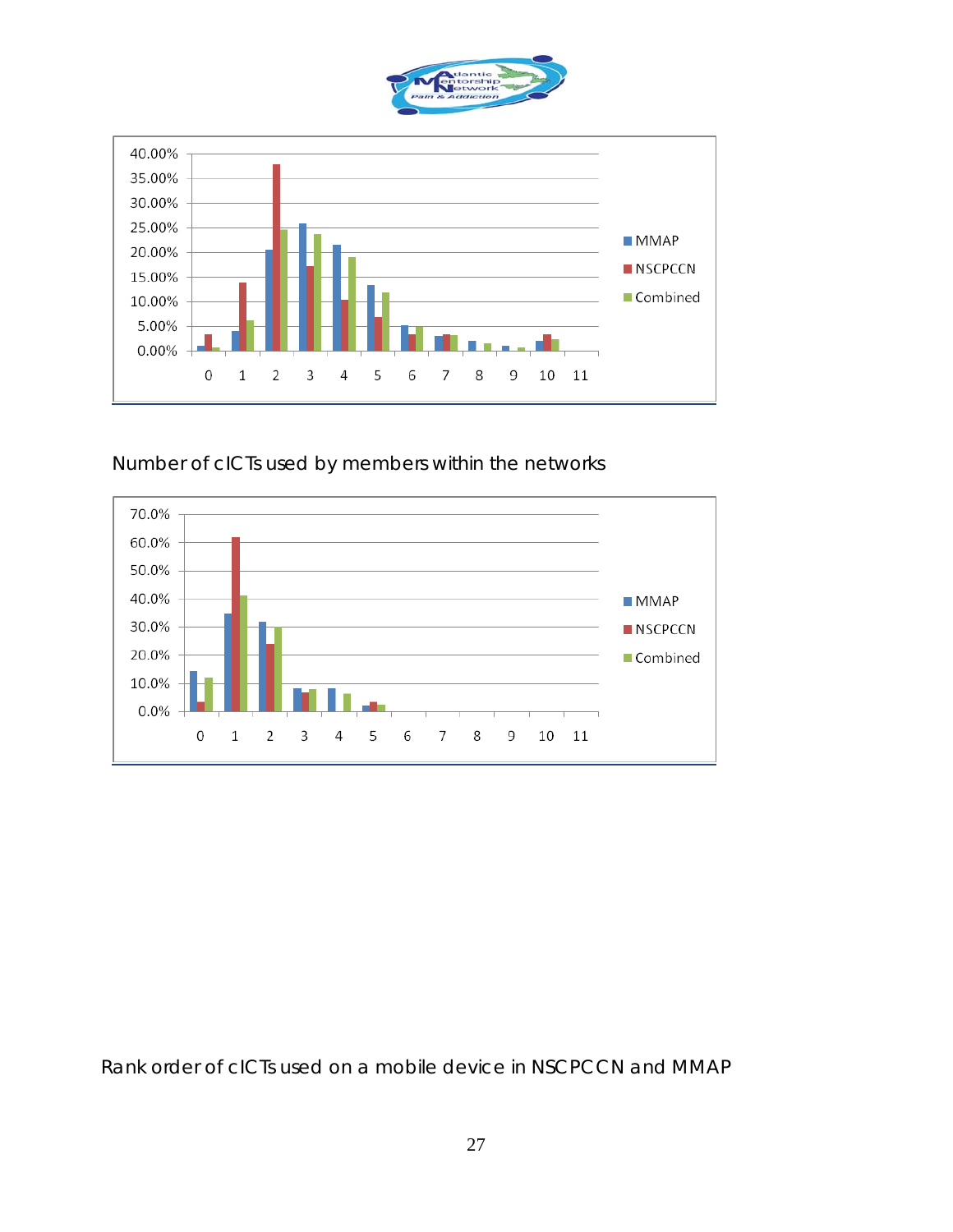



Number of cICTs used by members within the networks



Rank order of cICTs used on a mobile device in NSCPCCN and MMAP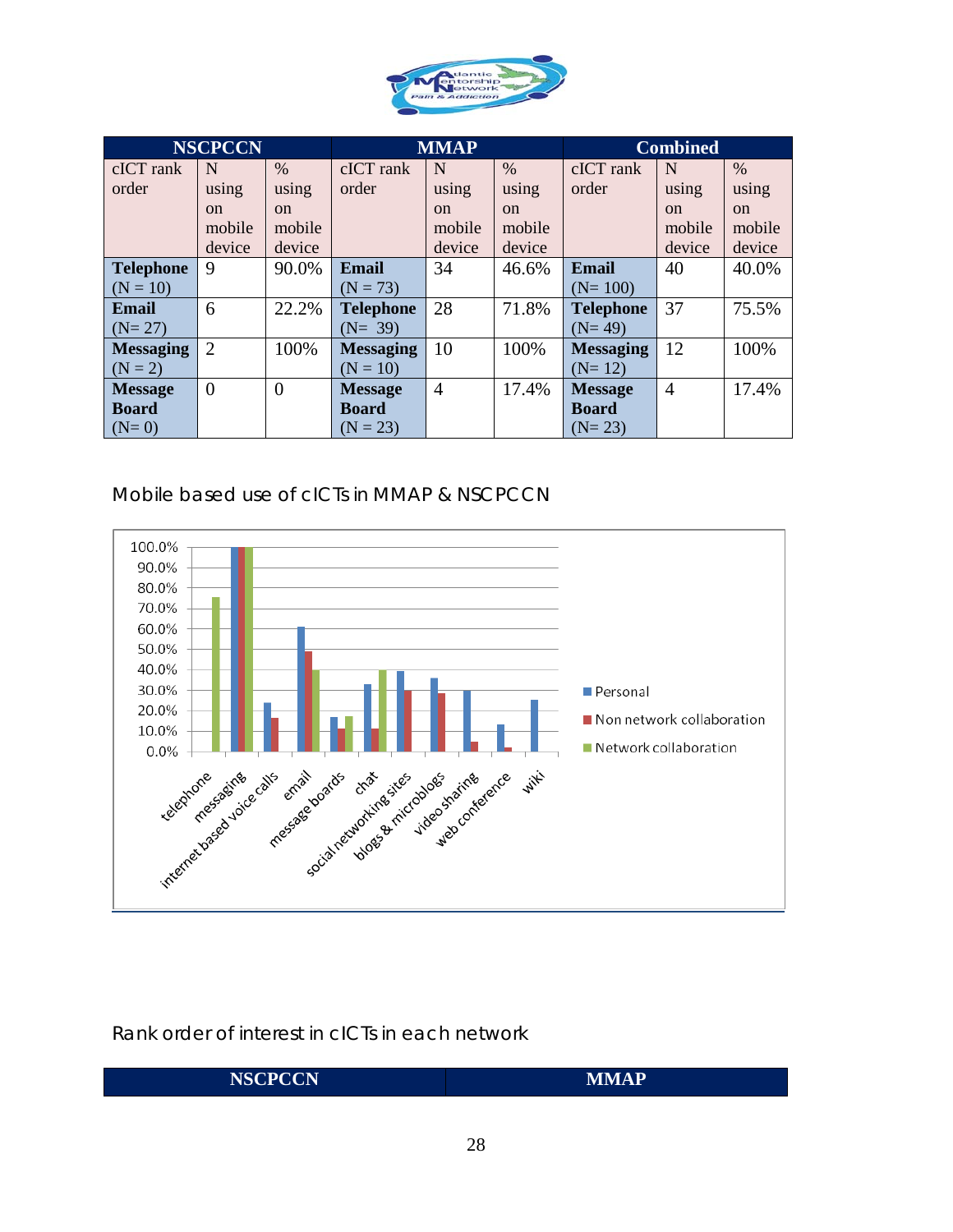

|                  | <b>NSCPCCN</b> |                |                  | <b>MMAP</b>    |               |                  | <b>Combined</b> |        |
|------------------|----------------|----------------|------------------|----------------|---------------|------------------|-----------------|--------|
| cICT rank        | N              | $\%$           | cICT rank        | N              | $\%$          | cICT rank        | N               | $\%$   |
| order            | using          | using          | order            | using          | using         | order            | using           | using  |
|                  | $\alpha$       | on             |                  | <sub>on</sub>  | <sub>on</sub> |                  | <sub>on</sub>   | on     |
|                  | mobile         | mobile         |                  | mobile         | mobile        |                  | mobile          | mobile |
|                  | device         | device         |                  | device         | device        |                  | device          | device |
| <b>Telephone</b> | 9              | 90.0%          | Email            | 34             | 46.6%         | Email            | 40              | 40.0%  |
| $(N = 10)$       |                |                | $(N = 73)$       |                |               | $(N=100)$        |                 |        |
| <b>Email</b>     | 6              | 22.2%          | <b>Telephone</b> | 28             | 71.8%         | <b>Telephone</b> | 37              | 75.5%  |
| $(N=27)$         |                |                | $(N = 39)$       |                |               | $(N=49)$         |                 |        |
| <b>Messaging</b> | $\overline{2}$ | 100%           | <b>Messaging</b> | 10             | 100%          | <b>Messaging</b> | 12              | 100%   |
| $(N = 2)$        |                |                | $(N = 10)$       |                |               | $(N=12)$         |                 |        |
| <b>Message</b>   | $\overline{0}$ | $\overline{0}$ | <b>Message</b>   | $\overline{4}$ | 17.4%         | <b>Message</b>   | $\overline{4}$  | 17.4%  |
| <b>Board</b>     |                |                | <b>Board</b>     |                |               | <b>Board</b>     |                 |        |
| $(N=0)$          |                |                | $(N = 23)$       |                |               | $(N=23)$         |                 |        |

### Mobile based use of cICTs in MMAP & NSCPCCN



Rank order of interest in cICTs in each network

| <b>NSCPCCN</b><br><b>MMAP</b> |
|-------------------------------|
|-------------------------------|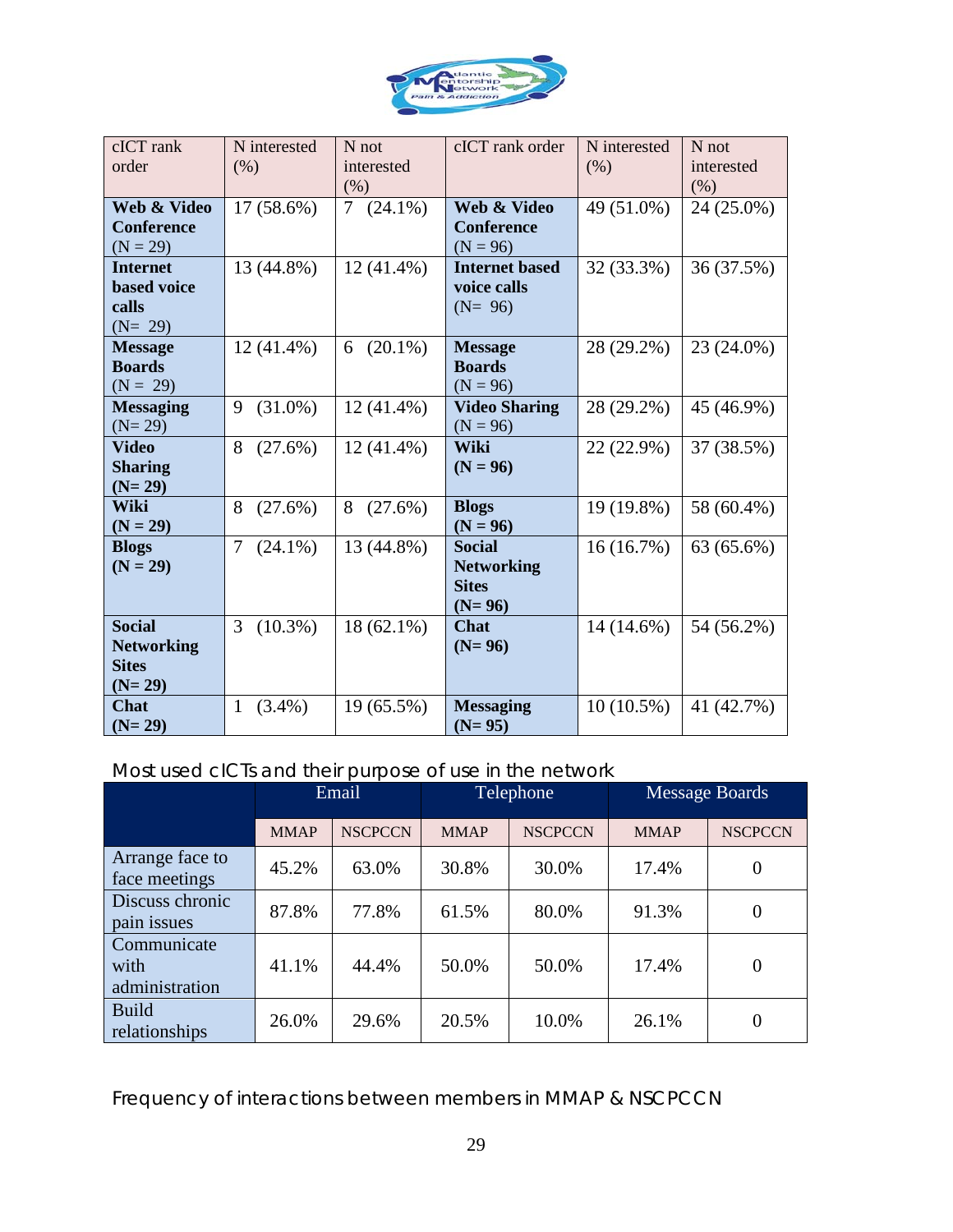

| cICT rank<br>order         | N interested<br>(% )      | $N$ not<br>interested        | cICT rank order             | N interested<br>(% ) | N not<br>interested |
|----------------------------|---------------------------|------------------------------|-----------------------------|----------------------|---------------------|
|                            |                           | (% )                         |                             |                      | (% )                |
| Web & Video                | 17 (58.6%)                | 7 <sup>7</sup><br>$(24.1\%)$ | Web & Video                 | 49 (51.0%)           | 24 (25.0%)          |
| <b>Conference</b>          |                           |                              | <b>Conference</b>           |                      |                     |
| $(N = 29)$                 |                           |                              | $(N = 96)$                  |                      |                     |
| <b>Internet</b>            | 13 (44.8%)                | $12(41.4\%)$                 | <b>Internet based</b>       | 32 (33.3%)           | 36 (37.5%)          |
| based voice<br>calls       |                           |                              | voice calls<br>$(N= 96)$    |                      |                     |
| $(N = 29)$                 |                           |                              |                             |                      |                     |
| <b>Message</b>             | $12(41.4\%)$              | $(20.1\%)$<br>6              | <b>Message</b>              | 28 (29.2%)           | 23 (24.0%)          |
| <b>Boards</b>              |                           |                              | <b>Boards</b>               |                      |                     |
| $(N = 29)$                 |                           |                              | $(N = 96)$                  |                      |                     |
| <b>Messaging</b>           | $(31.0\%)$<br>9           | $12(41.4\%)$                 | <b>Video Sharing</b>        | 28 (29.2%)           | 45 (46.9%)          |
| $(N=29)$                   |                           |                              | $(N = 96)$                  |                      |                     |
| <b>Video</b>               | 8<br>(27.6%)              | $12(41.4\%)$                 | Wiki                        | 22 (22.9%)           | 37 (38.5%)          |
| <b>Sharing</b>             |                           |                              | $(N = 96)$                  |                      |                     |
| $(N=29)$                   |                           |                              |                             |                      |                     |
| Wiki                       | 8<br>$(27.6\%)$           | 8<br>(27.6%)                 | <b>Blogs</b>                | 19 (19.8%)           | 58 (60.4%)          |
| $(N = 29)$                 | $\tau$                    |                              | $(N = 96)$<br><b>Social</b> |                      |                     |
| <b>Blogs</b><br>$(N = 29)$ | $(24.1\%)$                | 13 (44.8%)                   | <b>Networking</b>           | 16(16.7%)            | 63 (65.6%)          |
|                            |                           |                              | <b>Sites</b>                |                      |                     |
|                            |                           |                              | $(N=96)$                    |                      |                     |
| <b>Social</b>              | $(10.3\%)$<br>3           | $18(62.1\%)$                 | <b>Chat</b>                 | 14 (14.6%)           | 54 (56.2%)          |
| <b>Networking</b>          |                           |                              | $(N=96)$                    |                      |                     |
| <b>Sites</b>               |                           |                              |                             |                      |                     |
| $(N=29)$                   |                           |                              |                             |                      |                     |
| <b>Chat</b>                | $\mathbf{1}$<br>$(3.4\%)$ | 19 (65.5%)                   | <b>Messaging</b>            | $10(10.5\%)$         | 41 (42.7%)          |
| $(N=29)$                   |                           |                              | $(N=95)$                    |                      |                     |

### Most used cICTs and their purpose of use in the network

|                                       |             | Email          |             | Telephone<br><b>Message Boards</b> |             |                |
|---------------------------------------|-------------|----------------|-------------|------------------------------------|-------------|----------------|
|                                       | <b>MMAP</b> | <b>NSCPCCN</b> | <b>MMAP</b> | <b>NSCPCCN</b>                     | <b>MMAP</b> | <b>NSCPCCN</b> |
| Arrange face to<br>face meetings      | 45.2%       | 63.0%          | 30.8%       | 30.0%                              | 17.4%       | 0              |
| Discuss chronic<br>pain issues        | 87.8%       | 77.8%          | 61.5%       | 80.0%                              | 91.3%       | $\Omega$       |
| Communicate<br>with<br>administration | 41.1%       | 44.4%          | 50.0%       | 50.0%                              | 17.4%       | $\overline{0}$ |
| <b>Build</b><br>relationships         | 26.0%       | 29.6%          | 20.5%       | 10.0%                              | 26.1%       | 0              |

Frequency of interactions between members in MMAP & NSCPCCN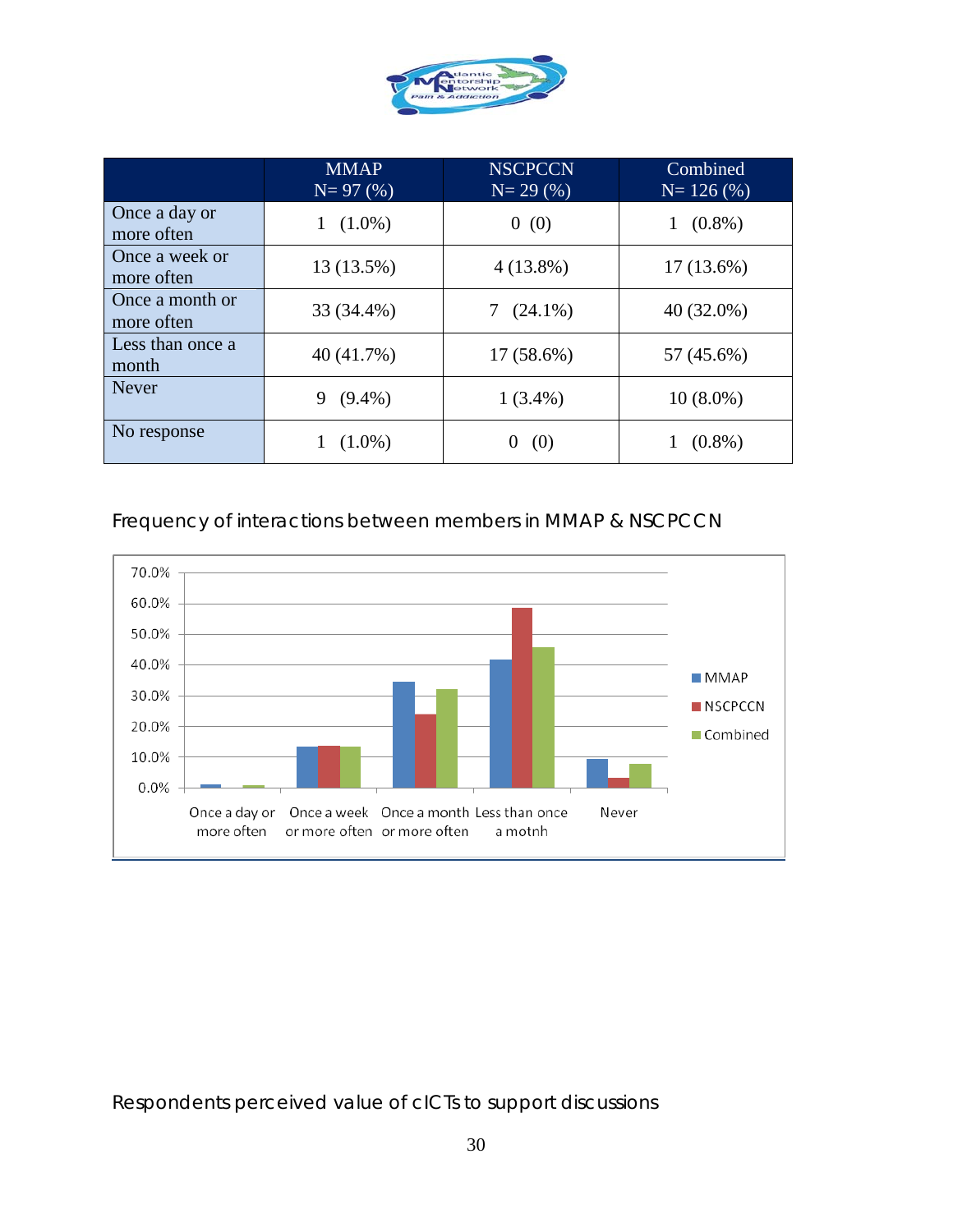

|                               | <b>MMAP</b><br>$N = 97(%)$ | <b>NSCPCCN</b><br>$N = 29(%)$ | Combined<br>$N = 126(%)$ |
|-------------------------------|----------------------------|-------------------------------|--------------------------|
| Once a day or<br>more often   | $(1.0\%)$<br>1             | 0(0)                          | $(0.8\%)$                |
| Once a week or<br>more often  | 13 (13.5%)                 | $4(13.8\%)$                   | $17(13.6\%)$             |
| Once a month or<br>more often | 33 (34.4%)                 | $(24.1\%)$                    | $40(32.0\%)$             |
| Less than once a<br>month     | 40 (41.7%)                 | 17 (58.6%)                    | 57 (45.6%)               |
| <b>Never</b>                  | $(9.4\%)$<br>9             | $1(3.4\%)$                    | $10(8.0\%)$              |
| No response                   | $(1.0\%)$                  | (0)<br>0                      | $(0.8\%)$                |

#### Frequency of interactions between members in MMAP & NSCPCCN



Respondents perceived value of cICTs to support discussions